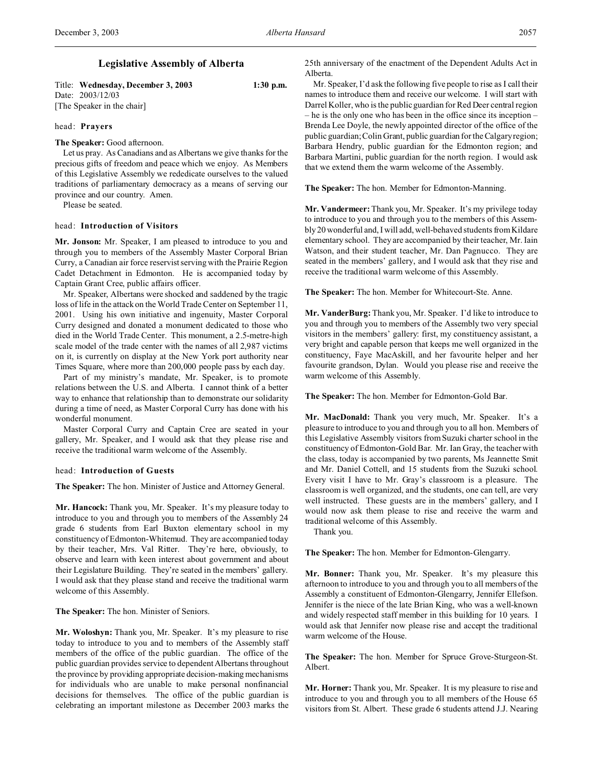# **Legislative Assembly of Alberta**

Title: **Wednesday, December 3, 2003 1:30 p.m.** Date: 2003/12/03 [The Speaker in the chair]

## head: **Prayers**

**The Speaker:** Good afternoon.

Let us pray. As Canadians and as Albertans we give thanks for the precious gifts of freedom and peace which we enjoy. As Members of this Legislative Assembly we rededicate ourselves to the valued traditions of parliamentary democracy as a means of serving our province and our country. Amen.

Please be seated.

### head: **Introduction of Visitors**

**Mr. Jonson:** Mr. Speaker, I am pleased to introduce to you and through you to members of the Assembly Master Corporal Brian Curry, a Canadian air force reservist serving with the Prairie Region Cadet Detachment in Edmonton. He is accompanied today by Captain Grant Cree, public affairs officer.

Mr. Speaker, Albertans were shocked and saddened by the tragic loss of life in the attack on the World Trade Center on September 11, 2001. Using his own initiative and ingenuity, Master Corporal Curry designed and donated a monument dedicated to those who died in the World Trade Center. This monument, a 2.5-metre-high scale model of the trade center with the names of all 2,987 victims on it, is currently on display at the New York port authority near Times Square, where more than 200,000 people pass by each day.

Part of my ministry's mandate, Mr. Speaker, is to promote relations between the U.S. and Alberta. I cannot think of a better way to enhance that relationship than to demonstrate our solidarity during a time of need, as Master Corporal Curry has done with his wonderful monument.

Master Corporal Curry and Captain Cree are seated in your gallery, Mr. Speaker, and I would ask that they please rise and receive the traditional warm welcome of the Assembly.

## head: **Introduction of Guests**

**The Speaker:** The hon. Minister of Justice and Attorney General.

**Mr. Hancock:** Thank you, Mr. Speaker. It's my pleasure today to introduce to you and through you to members of the Assembly 24 grade 6 students from Earl Buxton elementary school in my constituency of Edmonton-Whitemud. They are accompanied today by their teacher, Mrs. Val Ritter. They're here, obviously, to observe and learn with keen interest about government and about their Legislature Building. They're seated in the members' gallery. I would ask that they please stand and receive the traditional warm welcome of this Assembly.

**The Speaker:** The hon. Minister of Seniors.

**Mr. Woloshyn:** Thank you, Mr. Speaker. It's my pleasure to rise today to introduce to you and to members of the Assembly staff members of the office of the public guardian. The office of the public guardian provides service to dependent Albertans throughout the province by providing appropriate decision-making mechanisms for individuals who are unable to make personal nonfinancial decisions for themselves. The office of the public guardian is celebrating an important milestone as December 2003 marks the

25th anniversary of the enactment of the Dependent Adults Act in Alberta.

Mr. Speaker, I'd ask the following five people to rise as I call their names to introduce them and receive our welcome. I will start with Darrel Koller, who is the public guardian for Red Deer central region – he is the only one who has been in the office since its inception – Brenda Lee Doyle, the newly appointed director of the office of the public guardian; Colin Grant, public guardian for the Calgary region; Barbara Hendry, public guardian for the Edmonton region; and Barbara Martini, public guardian for the north region. I would ask that we extend them the warm welcome of the Assembly.

**The Speaker:** The hon. Member for Edmonton-Manning.

**Mr. Vandermeer:** Thank you, Mr. Speaker. It's my privilege today to introduce to you and through you to the members of this Assembly 20 wonderful and, I will add, well-behaved students from Kildare elementary school. They are accompanied by their teacher, Mr. Iain Watson, and their student teacher, Mr. Dan Pagnucco. They are seated in the members' gallery, and I would ask that they rise and receive the traditional warm welcome of this Assembly.

**The Speaker:** The hon. Member for Whitecourt-Ste. Anne.

**Mr. VanderBurg:** Thank you, Mr. Speaker. I'd like to introduce to you and through you to members of the Assembly two very special visitors in the members' gallery: first, my constituency assistant, a very bright and capable person that keeps me well organized in the constituency, Faye MacAskill, and her favourite helper and her favourite grandson, Dylan. Would you please rise and receive the warm welcome of this Assembly.

**The Speaker:** The hon. Member for Edmonton-Gold Bar.

**Mr. MacDonald:** Thank you very much, Mr. Speaker. It's a pleasure to introduce to you and through you to all hon. Members of this Legislative Assembly visitors from Suzuki charter school in the constituency of Edmonton-Gold Bar. Mr. Ian Gray, the teacher with the class, today is accompanied by two parents, Ms Jeannette Smit and Mr. Daniel Cottell, and 15 students from the Suzuki school. Every visit I have to Mr. Gray's classroom is a pleasure. The classroom is well organized, and the students, one can tell, are very well instructed. These guests are in the members' gallery, and I would now ask them please to rise and receive the warm and traditional welcome of this Assembly.

Thank you.

**The Speaker:** The hon. Member for Edmonton-Glengarry.

**Mr. Bonner:** Thank you, Mr. Speaker. It's my pleasure this afternoon to introduce to you and through you to all members of the Assembly a constituent of Edmonton-Glengarry, Jennifer Ellefson. Jennifer is the niece of the late Brian King, who was a well-known and widely respected staff member in this building for 10 years. I would ask that Jennifer now please rise and accept the traditional warm welcome of the House.

**The Speaker:** The hon. Member for Spruce Grove-Sturgeon-St. Albert.

**Mr. Horner:** Thank you, Mr. Speaker. It is my pleasure to rise and introduce to you and through you to all members of the House 65 visitors from St. Albert. These grade 6 students attend J.J. Nearing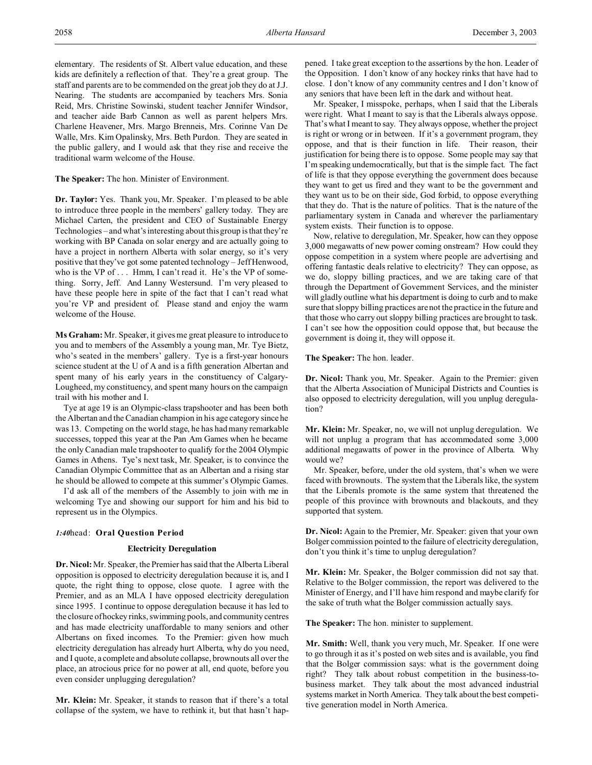elementary. The residents of St. Albert value education, and these kids are definitely a reflection of that. They're a great group. The staff and parents are to be commended on the great job they do at J.J. Nearing. The students are accompanied by teachers Mrs. Sonia Reid, Mrs. Christine Sowinski, student teacher Jennifer Windsor, and teacher aide Barb Cannon as well as parent helpers Mrs. Charlene Heavener, Mrs. Margo Brenneis, Mrs. Corinne Van De Walle, Mrs. Kim Opalinsky, Mrs. Beth Purdon. They are seated in the public gallery, and I would ask that they rise and receive the traditional warm welcome of the House.

**The Speaker:** The hon. Minister of Environment.

**Dr. Taylor:** Yes. Thank you, Mr. Speaker. I'm pleased to be able to introduce three people in the members' gallery today. They are Michael Carten, the president and CEO of Sustainable Energy Technologies – and what's interesting about this group is that they're working with BP Canada on solar energy and are actually going to have a project in northern Alberta with solar energy, so it's very positive that they've got some patented technology – Jeff Henwood, who is the VP of . . . Hmm, I can't read it. He's the VP of something. Sorry, Jeff. And Lanny Westersund. I'm very pleased to have these people here in spite of the fact that I can't read what you're VP and president of. Please stand and enjoy the warm welcome of the House.

**Ms Graham:** Mr. Speaker, it gives me great pleasure to introduce to you and to members of the Assembly a young man, Mr. Tye Bietz, who's seated in the members' gallery. Tye is a first-year honours science student at the U of A and is a fifth generation Albertan and spent many of his early years in the constituency of Calgary-Lougheed, my constituency, and spent many hours on the campaign trail with his mother and I.

Tye at age 19 is an Olympic-class trapshooter and has been both the Albertan and the Canadian champion in his age category since he was 13. Competing on the world stage, he has had many remarkable successes, topped this year at the Pan Am Games when he became the only Canadian male trapshooter to qualify for the 2004 Olympic Games in Athens. Tye's next task, Mr. Speaker, is to convince the Canadian Olympic Committee that as an Albertan and a rising star he should be allowed to compete at this summer's Olympic Games.

I'd ask all of the members of the Assembly to join with me in welcoming Tye and showing our support for him and his bid to represent us in the Olympics.

## *1:40*head: **Oral Question Period**

## **Electricity Deregulation**

**Dr. Nicol:** Mr. Speaker, the Premier has said that the Alberta Liberal opposition is opposed to electricity deregulation because it is, and I quote, the right thing to oppose, close quote. I agree with the Premier, and as an MLA I have opposed electricity deregulation since 1995. I continue to oppose deregulation because it has led to the closure of hockey rinks, swimming pools, and community centres and has made electricity unaffordable to many seniors and other Albertans on fixed incomes. To the Premier: given how much electricity deregulation has already hurt Alberta, why do you need, and I quote, a complete and absolute collapse, brownouts all over the place, an atrocious price for no power at all, end quote, before you even consider unplugging deregulation?

**Mr. Klein:** Mr. Speaker, it stands to reason that if there's a total collapse of the system, we have to rethink it, but that hasn't happened. I take great exception to the assertions by the hon. Leader of the Opposition. I don't know of any hockey rinks that have had to close. I don't know of any community centres and I don't know of any seniors that have been left in the dark and without heat.

Mr. Speaker, I misspoke, perhaps, when I said that the Liberals were right. What I meant to say is that the Liberals always oppose. That's what I meant to say. They always oppose, whether the project is right or wrong or in between. If it's a government program, they oppose, and that is their function in life. Their reason, their justification for being there is to oppose. Some people may say that I'm speaking undemocratically, but that is the simple fact. The fact of life is that they oppose everything the government does because they want to get us fired and they want to be the government and they want us to be on their side, God forbid, to oppose everything that they do. That is the nature of politics. That is the nature of the parliamentary system in Canada and wherever the parliamentary system exists. Their function is to oppose.

Now, relative to deregulation, Mr. Speaker, how can they oppose 3,000 megawatts of new power coming onstream? How could they oppose competition in a system where people are advertising and offering fantastic deals relative to electricity? They can oppose, as we do, sloppy billing practices, and we are taking care of that through the Department of Government Services, and the minister will gladly outline what his department is doing to curb and to make sure that sloppy billing practices are not the practice in the future and that those who carry out sloppy billing practices are brought to task. I can't see how the opposition could oppose that, but because the government is doing it, they will oppose it.

**The Speaker:** The hon. leader.

**Dr. Nicol:** Thank you, Mr. Speaker. Again to the Premier: given that the Alberta Association of Municipal Districts and Counties is also opposed to electricity deregulation, will you unplug deregulation?

**Mr. Klein:** Mr. Speaker, no, we will not unplug deregulation. We will not unplug a program that has accommodated some 3,000 additional megawatts of power in the province of Alberta. Why would we?

Mr. Speaker, before, under the old system, that's when we were faced with brownouts. The system that the Liberals like, the system that the Liberals promote is the same system that threatened the people of this province with brownouts and blackouts, and they supported that system.

**Dr. Nicol:** Again to the Premier, Mr. Speaker: given that your own Bolger commission pointed to the failure of electricity deregulation, don't you think it's time to unplug deregulation?

**Mr. Klein:** Mr. Speaker, the Bolger commission did not say that. Relative to the Bolger commission, the report was delivered to the Minister of Energy, and I'll have him respond and maybe clarify for the sake of truth what the Bolger commission actually says.

**The Speaker:** The hon. minister to supplement.

**Mr. Smith:** Well, thank you very much, Mr. Speaker. If one were to go through it as it's posted on web sites and is available, you find that the Bolger commission says: what is the government doing right? They talk about robust competition in the business-tobusiness market. They talk about the most advanced industrial systems market in North America. They talk about the best competitive generation model in North America.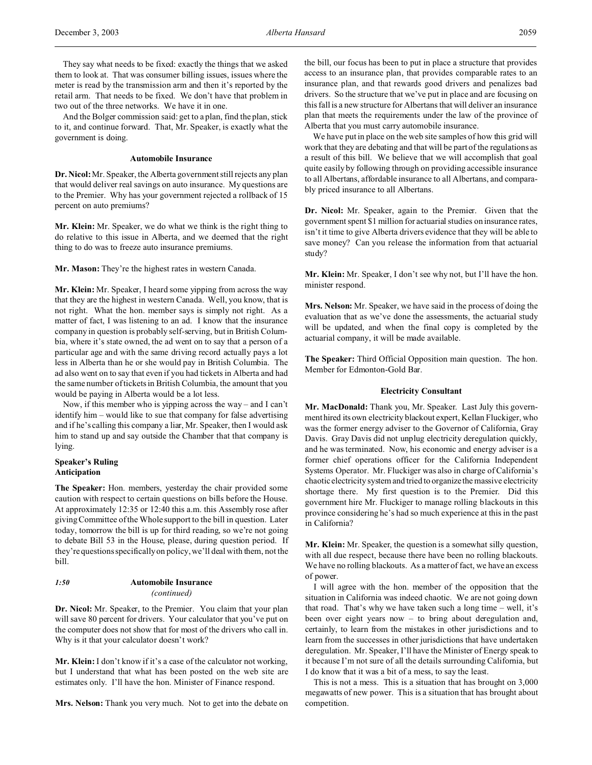They say what needs to be fixed: exactly the things that we asked them to look at. That was consumer billing issues, issues where the meter is read by the transmission arm and then it's reported by the retail arm. That needs to be fixed. We don't have that problem in two out of the three networks. We have it in one.

And the Bolger commission said: get to a plan, find the plan, stick to it, and continue forward. That, Mr. Speaker, is exactly what the government is doing.

## **Automobile Insurance**

**Dr. Nicol:** Mr. Speaker, the Alberta government still rejects any plan that would deliver real savings on auto insurance. My questions are to the Premier. Why has your government rejected a rollback of 15 percent on auto premiums?

**Mr. Klein:** Mr. Speaker, we do what we think is the right thing to do relative to this issue in Alberta, and we deemed that the right thing to do was to freeze auto insurance premiums.

**Mr. Mason:** They're the highest rates in western Canada.

**Mr. Klein:** Mr. Speaker, I heard some yipping from across the way that they are the highest in western Canada. Well, you know, that is not right. What the hon. member says is simply not right. As a matter of fact, I was listening to an ad. I know that the insurance company in question is probably self-serving, but in British Columbia, where it's state owned, the ad went on to say that a person of a particular age and with the same driving record actually pays a lot less in Alberta than he or she would pay in British Columbia. The ad also went on to say that even if you had tickets in Alberta and had the same number of tickets in British Columbia, the amount that you would be paying in Alberta would be a lot less.

Now, if this member who is yipping across the way – and I can't identify him – would like to sue that company for false advertising and if he's calling this company a liar, Mr. Speaker, then I would ask him to stand up and say outside the Chamber that that company is lying.

## **Speaker's Ruling Anticipation**

**The Speaker:** Hon. members, yesterday the chair provided some caution with respect to certain questions on bills before the House. At approximately 12:35 or 12:40 this a.m. this Assembly rose after giving Committee of the Whole support to the bill in question. Later today, tomorrow the bill is up for third reading, so we're not going to debate Bill 53 in the House, please, during question period. If they're questions specifically on policy, we'll deal with them, not the bill.

# *1:50* **Automobile Insurance** *(continued)*

**Dr. Nicol:** Mr. Speaker, to the Premier. You claim that your plan will save 80 percent for drivers. Your calculator that you've put on the computer does not show that for most of the drivers who call in. Why is it that your calculator doesn't work?

**Mr. Klein:** I don't know if it's a case of the calculator not working, but I understand that what has been posted on the web site are estimates only. I'll have the hon. Minister of Finance respond.

**Mrs. Nelson:** Thank you very much. Not to get into the debate on

the bill, our focus has been to put in place a structure that provides access to an insurance plan, that provides comparable rates to an insurance plan, and that rewards good drivers and penalizes bad drivers. So the structure that we've put in place and are focusing on this fall is a new structure for Albertans that will deliver an insurance plan that meets the requirements under the law of the province of Alberta that you must carry automobile insurance.

We have put in place on the web site samples of how this grid will work that they are debating and that will be part of the regulations as a result of this bill. We believe that we will accomplish that goal quite easily by following through on providing accessible insurance to all Albertans, affordable insurance to all Albertans, and comparably priced insurance to all Albertans.

**Dr. Nicol:** Mr. Speaker, again to the Premier. Given that the government spent \$1 million for actuarial studies on insurance rates, isn't it time to give Alberta drivers evidence that they will be able to save money? Can you release the information from that actuarial study?

**Mr. Klein:** Mr. Speaker, I don't see why not, but I'll have the hon. minister respond.

**Mrs. Nelson:** Mr. Speaker, we have said in the process of doing the evaluation that as we've done the assessments, the actuarial study will be updated, and when the final copy is completed by the actuarial company, it will be made available.

**The Speaker:** Third Official Opposition main question. The hon. Member for Edmonton-Gold Bar.

## **Electricity Consultant**

**Mr. MacDonald:** Thank you, Mr. Speaker. Last July this government hired its own electricity blackout expert, Kellan Fluckiger, who was the former energy adviser to the Governor of California, Gray Davis. Gray Davis did not unplug electricity deregulation quickly, and he was terminated. Now, his economic and energy adviser is a former chief operations officer for the California Independent Systems Operator. Mr. Fluckiger was also in charge of California's chaotic electricity system and tried to organize the massive electricity shortage there. My first question is to the Premier. Did this government hire Mr. Fluckiger to manage rolling blackouts in this province considering he's had so much experience at this in the past in California?

**Mr. Klein:** Mr. Speaker, the question is a somewhat silly question, with all due respect, because there have been no rolling blackouts. We have no rolling blackouts. As a matter of fact, we have an excess of power.

I will agree with the hon. member of the opposition that the situation in California was indeed chaotic. We are not going down that road. That's why we have taken such a long time – well, it's been over eight years now – to bring about deregulation and, certainly, to learn from the mistakes in other jurisdictions and to learn from the successes in other jurisdictions that have undertaken deregulation. Mr. Speaker, I'll have the Minister of Energy speak to it because I'm not sure of all the details surrounding California, but I do know that it was a bit of a mess, to say the least.

This is not a mess. This is a situation that has brought on 3,000 megawatts of new power. This is a situation that has brought about competition.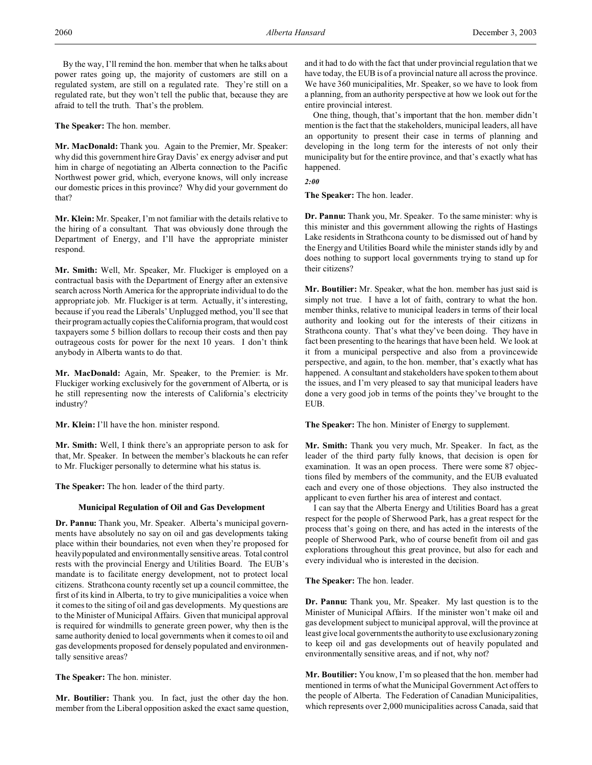By the way, I'll remind the hon. member that when he talks about power rates going up, the majority of customers are still on a regulated system, are still on a regulated rate. They're still on a regulated rate, but they won't tell the public that, because they are afraid to tell the truth. That's the problem.

**The Speaker:** The hon. member.

**Mr. MacDonald:** Thank you. Again to the Premier, Mr. Speaker: why did this government hire Gray Davis' ex energy adviser and put him in charge of negotiating an Alberta connection to the Pacific Northwest power grid, which, everyone knows, will only increase our domestic prices in this province? Why did your government do that?

**Mr. Klein:** Mr. Speaker, I'm not familiar with the details relative to the hiring of a consultant. That was obviously done through the Department of Energy, and I'll have the appropriate minister respond.

**Mr. Smith:** Well, Mr. Speaker, Mr. Fluckiger is employed on a contractual basis with the Department of Energy after an extensive search across North America for the appropriate individual to do the appropriate job. Mr. Fluckiger is at term. Actually, it's interesting, because if you read the Liberals' Unplugged method, you'll see that their program actually copies the California program, that would cost taxpayers some 5 billion dollars to recoup their costs and then pay outrageous costs for power for the next 10 years. I don't think anybody in Alberta wants to do that.

**Mr. MacDonald:** Again, Mr. Speaker, to the Premier: is Mr. Fluckiger working exclusively for the government of Alberta, or is he still representing now the interests of California's electricity industry?

**Mr. Klein:** I'll have the hon. minister respond.

**Mr. Smith:** Well, I think there's an appropriate person to ask for that, Mr. Speaker. In between the member's blackouts he can refer to Mr. Fluckiger personally to determine what his status is.

**The Speaker:** The hon. leader of the third party.

## **Municipal Regulation of Oil and Gas Development**

**Dr. Pannu:** Thank you, Mr. Speaker. Alberta's municipal governments have absolutely no say on oil and gas developments taking place within their boundaries, not even when they're proposed for heavily populated and environmentally sensitive areas. Total control rests with the provincial Energy and Utilities Board. The EUB's mandate is to facilitate energy development, not to protect local citizens. Strathcona county recently set up a council committee, the first of its kind in Alberta, to try to give municipalities a voice when it comes to the siting of oil and gas developments. My questions are to the Minister of Municipal Affairs. Given that municipal approval is required for windmills to generate green power, why then is the same authority denied to local governments when it comes to oil and gas developments proposed for densely populated and environmentally sensitive areas?

**The Speaker:** The hon. minister.

**Mr. Boutilier:** Thank you. In fact, just the other day the hon. member from the Liberal opposition asked the exact same question, and it had to do with the fact that under provincial regulation that we have today, the EUB is of a provincial nature all across the province. We have 360 municipalities, Mr. Speaker, so we have to look from a planning, from an authority perspective at how we look out for the entire provincial interest.

One thing, though, that's important that the hon. member didn't mention is the fact that the stakeholders, municipal leaders, all have an opportunity to present their case in terms of planning and developing in the long term for the interests of not only their municipality but for the entire province, and that's exactly what has happened.

*2:00*

**The Speaker:** The hon. leader.

**Dr. Pannu:** Thank you, Mr. Speaker. To the same minister: why is this minister and this government allowing the rights of Hastings Lake residents in Strathcona county to be dismissed out of hand by the Energy and Utilities Board while the minister stands idly by and does nothing to support local governments trying to stand up for their citizens?

**Mr. Boutilier:** Mr. Speaker, what the hon. member has just said is simply not true. I have a lot of faith, contrary to what the hon. member thinks, relative to municipal leaders in terms of their local authority and looking out for the interests of their citizens in Strathcona county. That's what they've been doing. They have in fact been presenting to the hearings that have been held. We look at it from a municipal perspective and also from a provincewide perspective, and again, to the hon. member, that's exactly what has happened. A consultant and stakeholders have spoken to them about the issues, and I'm very pleased to say that municipal leaders have done a very good job in terms of the points they've brought to the EUB.

**The Speaker:** The hon. Minister of Energy to supplement.

**Mr. Smith:** Thank you very much, Mr. Speaker. In fact, as the leader of the third party fully knows, that decision is open for examination. It was an open process. There were some 87 objections filed by members of the community, and the EUB evaluated each and every one of those objections. They also instructed the applicant to even further his area of interest and contact.

I can say that the Alberta Energy and Utilities Board has a great respect for the people of Sherwood Park, has a great respect for the process that's going on there, and has acted in the interests of the people of Sherwood Park, who of course benefit from oil and gas explorations throughout this great province, but also for each and every individual who is interested in the decision.

**The Speaker:** The hon. leader.

**Dr. Pannu:** Thank you, Mr. Speaker. My last question is to the Minister of Municipal Affairs. If the minister won't make oil and gas development subject to municipal approval, will the province at least give local governments the authority to use exclusionary zoning to keep oil and gas developments out of heavily populated and environmentally sensitive areas, and if not, why not?

**Mr. Boutilier:** You know, I'm so pleased that the hon. member had mentioned in terms of what the Municipal Government Act offers to the people of Alberta. The Federation of Canadian Municipalities, which represents over 2,000 municipalities across Canada, said that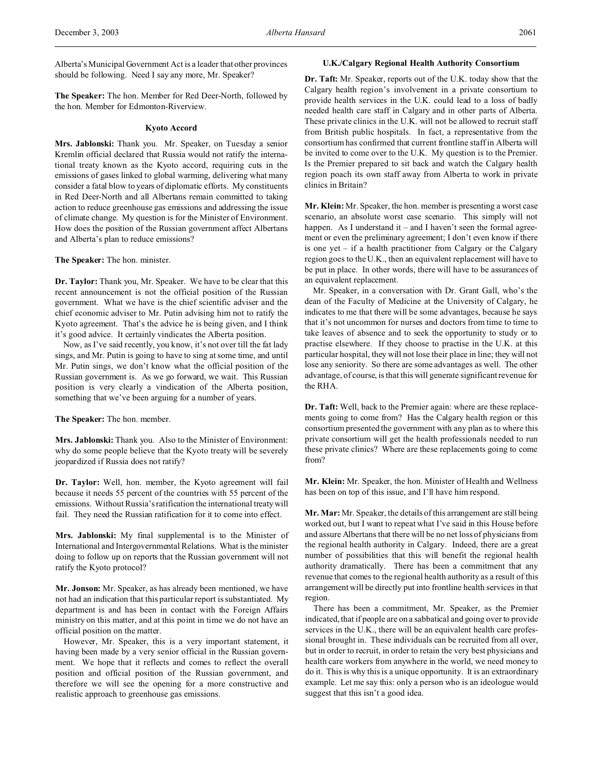Alberta's Municipal Government Act is a leader that other provinces should be following. Need I say any more, Mr. Speaker?

**The Speaker:** The hon. Member for Red Deer-North, followed by the hon. Member for Edmonton-Riverview.

## **Kyoto Accord**

**Mrs. Jablonski:** Thank you. Mr. Speaker, on Tuesday a senior Kremlin official declared that Russia would not ratify the international treaty known as the Kyoto accord, requiring cuts in the emissions of gases linked to global warming, delivering what many consider a fatal blow to years of diplomatic efforts. My constituents in Red Deer-North and all Albertans remain committed to taking action to reduce greenhouse gas emissions and addressing the issue of climate change. My question is for the Minister of Environment. How does the position of the Russian government affect Albertans and Alberta's plan to reduce emissions?

**The Speaker:** The hon. minister.

**Dr. Taylor:** Thank you, Mr. Speaker. We have to be clear that this recent announcement is not the official position of the Russian government. What we have is the chief scientific adviser and the chief economic adviser to Mr. Putin advising him not to ratify the Kyoto agreement. That's the advice he is being given, and I think it's good advice. It certainly vindicates the Alberta position.

Now, as I've said recently, you know, it's not over till the fat lady sings, and Mr. Putin is going to have to sing at some time, and until Mr. Putin sings, we don't know what the official position of the Russian government is. As we go forward, we wait. This Russian position is very clearly a vindication of the Alberta position, something that we've been arguing for a number of years.

**The Speaker:** The hon. member.

**Mrs. Jablonski:** Thank you. Also to the Minister of Environment: why do some people believe that the Kyoto treaty will be severely jeopardized if Russia does not ratify?

**Dr. Taylor:** Well, hon. member, the Kyoto agreement will fail because it needs 55 percent of the countries with 55 percent of the emissions. Without Russia's ratification the international treaty will fail. They need the Russian ratification for it to come into effect.

**Mrs. Jablonski:** My final supplemental is to the Minister of International and Intergovernmental Relations. What is the minister doing to follow up on reports that the Russian government will not ratify the Kyoto protocol?

**Mr. Jonson:** Mr. Speaker, as has already been mentioned, we have not had an indication that this particular report is substantiated. My department is and has been in contact with the Foreign Affairs ministry on this matter, and at this point in time we do not have an official position on the matter.

However, Mr. Speaker, this is a very important statement, it having been made by a very senior official in the Russian government. We hope that it reflects and comes to reflect the overall position and official position of the Russian government, and therefore we will see the opening for a more constructive and realistic approach to greenhouse gas emissions.

## **U.K./Calgary Regional Health Authority Consortium**

**Dr. Taft:** Mr. Speaker, reports out of the U.K. today show that the Calgary health region's involvement in a private consortium to provide health services in the U.K. could lead to a loss of badly needed health care staff in Calgary and in other parts of Alberta. These private clinics in the U.K. will not be allowed to recruit staff from British public hospitals. In fact, a representative from the consortium has confirmed that current frontline staff in Alberta will be invited to come over to the U.K. My question is to the Premier. Is the Premier prepared to sit back and watch the Calgary health region poach its own staff away from Alberta to work in private clinics in Britain?

**Mr. Klein:** Mr. Speaker, the hon. member is presenting a worst case scenario, an absolute worst case scenario. This simply will not happen. As I understand it – and I haven't seen the formal agreement or even the preliminary agreement; I don't even know if there is one yet – if a health practitioner from Calgary or the Calgary region goes to the U.K., then an equivalent replacement will have to be put in place. In other words, there will have to be assurances of an equivalent replacement.

Mr. Speaker, in a conversation with Dr. Grant Gall, who's the dean of the Faculty of Medicine at the University of Calgary, he indicates to me that there will be some advantages, because he says that it's not uncommon for nurses and doctors from time to time to take leaves of absence and to seek the opportunity to study or to practise elsewhere. If they choose to practise in the U.K. at this particular hospital, they will not lose their place in line; they will not lose any seniority. So there are some advantages as well. The other advantage, of course, is that this will generate significant revenue for the RHA.

**Dr. Taft:** Well, back to the Premier again: where are these replacements going to come from? Has the Calgary health region or this consortium presented the government with any plan as to where this private consortium will get the health professionals needed to run these private clinics? Where are these replacements going to come from?

**Mr. Klein:** Mr. Speaker, the hon. Minister of Health and Wellness has been on top of this issue, and I'll have him respond.

**Mr. Mar:** Mr. Speaker, the details of this arrangement are still being worked out, but I want to repeat what I've said in this House before and assure Albertans that there will be no net loss of physicians from the regional health authority in Calgary. Indeed, there are a great number of possibilities that this will benefit the regional health authority dramatically. There has been a commitment that any revenue that comes to the regional health authority as a result of this arrangement will be directly put into frontline health services in that region.

There has been a commitment, Mr. Speaker, as the Premier indicated, that if people are on a sabbatical and going over to provide services in the U.K., there will be an equivalent health care professional brought in. These individuals can be recruited from all over, but in order to recruit, in order to retain the very best physicians and health care workers from anywhere in the world, we need money to do it. This is why this is a unique opportunity. It is an extraordinary example. Let me say this: only a person who is an ideologue would suggest that this isn't a good idea.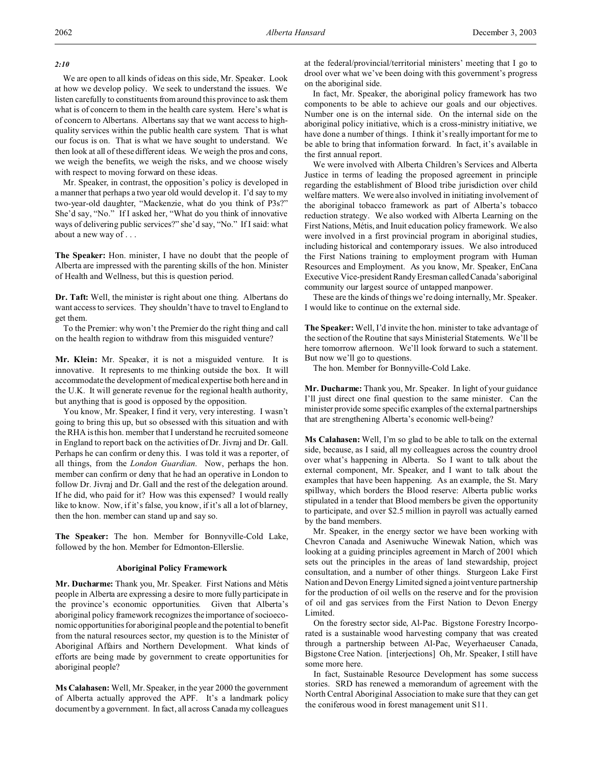## *2:10*

We are open to all kinds of ideas on this side, Mr. Speaker. Look at how we develop policy. We seek to understand the issues. We listen carefully to constituents from around this province to ask them what is of concern to them in the health care system. Here's what is of concern to Albertans. Albertans say that we want access to highquality services within the public health care system. That is what our focus is on. That is what we have sought to understand. We then look at all of these different ideas. We weigh the pros and cons, we weigh the benefits, we weigh the risks, and we choose wisely with respect to moving forward on these ideas.

Mr. Speaker, in contrast, the opposition's policy is developed in a manner that perhaps a two year old would develop it. I'd say to my two-year-old daughter, "Mackenzie, what do you think of P3s?" She'd say, "No." If I asked her, "What do you think of innovative ways of delivering public services?" she'd say, "No." If I said: what about a new way of . . .

**The Speaker:** Hon. minister, I have no doubt that the people of Alberta are impressed with the parenting skills of the hon. Minister of Health and Wellness, but this is question period.

**Dr. Taft:** Well, the minister is right about one thing. Albertans do want access to services. They shouldn't have to travel to England to get them.

To the Premier: why won't the Premier do the right thing and call on the health region to withdraw from this misguided venture?

**Mr. Klein:** Mr. Speaker, it is not a misguided venture. It is innovative. It represents to me thinking outside the box. It will accommodate the development of medical expertise both here and in the U.K. It will generate revenue for the regional health authority, but anything that is good is opposed by the opposition.

You know, Mr. Speaker, I find it very, very interesting. I wasn't going to bring this up, but so obsessed with this situation and with the RHA is this hon. member that I understand he recruited someone in England to report back on the activities of Dr. Jivraj and Dr. Gall. Perhaps he can confirm or deny this. I was told it was a reporter, of all things, from the *London Guardian*. Now, perhaps the hon. member can confirm or deny that he had an operative in London to follow Dr. Jivraj and Dr. Gall and the rest of the delegation around. If he did, who paid for it? How was this expensed? I would really like to know. Now, if it's false, you know, if it's all a lot of blarney, then the hon. member can stand up and say so.

**The Speaker:** The hon. Member for Bonnyville-Cold Lake, followed by the hon. Member for Edmonton-Ellerslie.

## **Aboriginal Policy Framework**

**Mr. Ducharme:** Thank you, Mr. Speaker. First Nations and Métis people in Alberta are expressing a desire to more fully participate in the province's economic opportunities. Given that Alberta's aboriginal policy framework recognizes the importance of socioeconomic opportunities for aboriginal people and the potential to benefit from the natural resources sector, my question is to the Minister of Aboriginal Affairs and Northern Development. What kinds of efforts are being made by government to create opportunities for aboriginal people?

**Ms Calahasen:** Well, Mr. Speaker, in the year 2000 the government of Alberta actually approved the APF. It's a landmark policy document by a government. In fact, all across Canada my colleagues

at the federal/provincial/territorial ministers' meeting that I go to drool over what we've been doing with this government's progress on the aboriginal side.

In fact, Mr. Speaker, the aboriginal policy framework has two components to be able to achieve our goals and our objectives. Number one is on the internal side. On the internal side on the aboriginal policy initiative, which is a cross-ministry initiative, we have done a number of things. I think it's really important for me to be able to bring that information forward. In fact, it's available in the first annual report.

We were involved with Alberta Children's Services and Alberta Justice in terms of leading the proposed agreement in principle regarding the establishment of Blood tribe jurisdiction over child welfare matters. We were also involved in initiating involvement of the aboriginal tobacco framework as part of Alberta's tobacco reduction strategy. We also worked with Alberta Learning on the First Nations, Métis, and Inuit education policy framework. We also were involved in a first provincial program in aboriginal studies, including historical and contemporary issues. We also introduced the First Nations training to employment program with Human Resources and Employment. As you know, Mr. Speaker, EnCana Executive Vice-president Randy Eresman calledCanada'saboriginal community our largest source of untapped manpower.

These are the kinds of things we're doing internally, Mr. Speaker. I would like to continue on the external side.

**The Speaker:** Well, I'd invite the hon. minister to take advantage of the section of the Routine that says Ministerial Statements. We'll be here tomorrow afternoon. We'll look forward to such a statement. But now we'll go to questions.

The hon. Member for Bonnyville-Cold Lake.

**Mr. Ducharme:** Thank you, Mr. Speaker. In light of your guidance I'll just direct one final question to the same minister. Can the minister provide some specific examples of the external partnerships that are strengthening Alberta's economic well-being?

**Ms Calahasen:** Well, I'm so glad to be able to talk on the external side, because, as I said, all my colleagues across the country drool over what's happening in Alberta. So I want to talk about the external component, Mr. Speaker, and I want to talk about the examples that have been happening. As an example, the St. Mary spillway, which borders the Blood reserve: Alberta public works stipulated in a tender that Blood members be given the opportunity to participate, and over \$2.5 million in payroll was actually earned by the band members.

Mr. Speaker, in the energy sector we have been working with Chevron Canada and Aseniwuche Winewak Nation, which was looking at a guiding principles agreement in March of 2001 which sets out the principles in the areas of land stewardship, project consultation, and a number of other things. Sturgeon Lake First Nation and Devon Energy Limited signed a joint venture partnership for the production of oil wells on the reserve and for the provision of oil and gas services from the First Nation to Devon Energy Limited.

On the forestry sector side, Al-Pac. Bigstone Forestry Incorporated is a sustainable wood harvesting company that was created through a partnership between Al-Pac, Weyerhaeuser Canada, Bigstone Cree Nation. [interjections] Oh, Mr. Speaker, I still have some more here.

In fact, Sustainable Resource Development has some success stories. SRD has renewed a memorandum of agreement with the North Central Aboriginal Association to make sure that they can get the coniferous wood in forest management unit S11.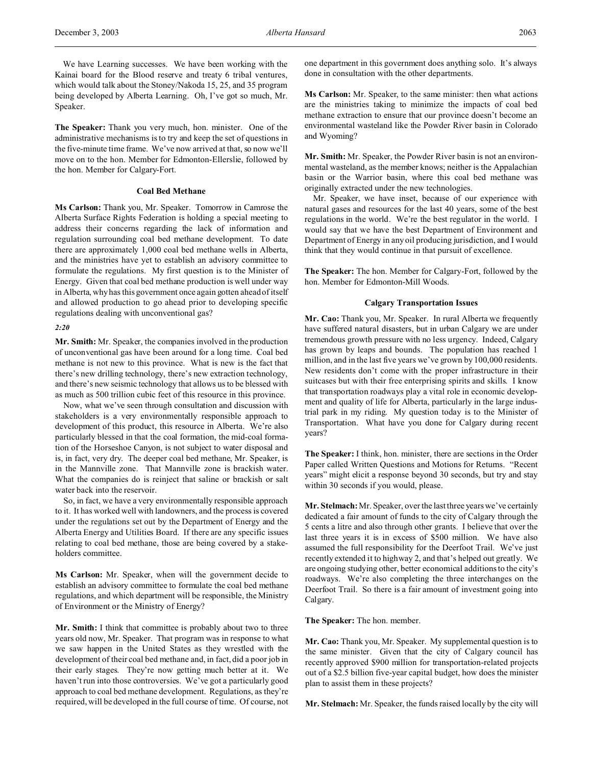We have Learning successes. We have been working with the Kainai board for the Blood reserve and treaty 6 tribal ventures, which would talk about the Stoney/Nakoda 15, 25, and 35 program being developed by Alberta Learning. Oh, I've got so much, Mr. Speaker.

**The Speaker:** Thank you very much, hon. minister. One of the administrative mechanisms is to try and keep the set of questions in the five-minute time frame. We've now arrived at that, so now we'll move on to the hon. Member for Edmonton-Ellerslie, followed by the hon. Member for Calgary-Fort.

## **Coal Bed Methane**

**Ms Carlson:** Thank you, Mr. Speaker. Tomorrow in Camrose the Alberta Surface Rights Federation is holding a special meeting to address their concerns regarding the lack of information and regulation surrounding coal bed methane development. To date there are approximately 1,000 coal bed methane wells in Alberta, and the ministries have yet to establish an advisory committee to formulate the regulations. My first question is to the Minister of Energy. Given that coal bed methane production is well under way in Alberta, why has this government once again gotten ahead of itself and allowed production to go ahead prior to developing specific regulations dealing with unconventional gas?

### *2:20*

**Mr. Smith:** Mr. Speaker, the companies involved in the production of unconventional gas have been around for a long time. Coal bed methane is not new to this province. What is new is the fact that there's new drilling technology, there's new extraction technology, and there's new seismic technology that allows us to be blessed with as much as 500 trillion cubic feet of this resource in this province.

Now, what we've seen through consultation and discussion with stakeholders is a very environmentally responsible approach to development of this product, this resource in Alberta. We're also particularly blessed in that the coal formation, the mid-coal formation of the Horseshoe Canyon, is not subject to water disposal and is, in fact, very dry. The deeper coal bed methane, Mr. Speaker, is in the Mannville zone. That Mannville zone is brackish water. What the companies do is reinject that saline or brackish or salt water back into the reservoir.

So, in fact, we have a very environmentally responsible approach to it. It has worked well with landowners, and the process is covered under the regulations set out by the Department of Energy and the Alberta Energy and Utilities Board. If there are any specific issues relating to coal bed methane, those are being covered by a stakeholders committee.

**Ms Carlson:** Mr. Speaker, when will the government decide to establish an advisory committee to formulate the coal bed methane regulations, and which department will be responsible, the Ministry of Environment or the Ministry of Energy?

**Mr. Smith:** I think that committee is probably about two to three years old now, Mr. Speaker. That program was in response to what we saw happen in the United States as they wrestled with the development of their coal bed methane and, in fact, did a poor job in their early stages. They're now getting much better at it. We haven't run into those controversies. We've got a particularly good approach to coal bed methane development. Regulations, as they're required, will be developed in the full course of time. Of course, not one department in this government does anything solo. It's always done in consultation with the other departments.

**Ms Carlson:** Mr. Speaker, to the same minister: then what actions are the ministries taking to minimize the impacts of coal bed methane extraction to ensure that our province doesn't become an environmental wasteland like the Powder River basin in Colorado and Wyoming?

**Mr. Smith:** Mr. Speaker, the Powder River basin is not an environmental wasteland, as the member knows; neither is the Appalachian basin or the Warrior basin, where this coal bed methane was originally extracted under the new technologies.

Mr. Speaker, we have inset, because of our experience with natural gases and resources for the last 40 years, some of the best regulations in the world. We're the best regulator in the world. I would say that we have the best Department of Environment and Department of Energy in any oil producing jurisdiction, and I would think that they would continue in that pursuit of excellence.

**The Speaker:** The hon. Member for Calgary-Fort, followed by the hon. Member for Edmonton-Mill Woods.

## **Calgary Transportation Issues**

**Mr. Cao:** Thank you, Mr. Speaker. In rural Alberta we frequently have suffered natural disasters, but in urban Calgary we are under tremendous growth pressure with no less urgency. Indeed, Calgary has grown by leaps and bounds. The population has reached 1 million, and in the last five years we've grown by 100,000 residents. New residents don't come with the proper infrastructure in their suitcases but with their free enterprising spirits and skills. I know that transportation roadways play a vital role in economic development and quality of life for Alberta, particularly in the large industrial park in my riding. My question today is to the Minister of Transportation. What have you done for Calgary during recent years?

**The Speaker:** I think, hon. minister, there are sections in the Order Paper called Written Questions and Motions for Returns. "Recent years" might elicit a response beyond 30 seconds, but try and stay within 30 seconds if you would, please.

**Mr. Stelmach:** Mr. Speaker, over the last three years we've certainly dedicated a fair amount of funds to the city of Calgary through the 5 cents a litre and also through other grants. I believe that over the last three years it is in excess of \$500 million. We have also assumed the full responsibility for the Deerfoot Trail. We've just recently extended it to highway 2, and that's helped out greatly. We are ongoing studying other, better economical additions to the city's roadways. We're also completing the three interchanges on the Deerfoot Trail. So there is a fair amount of investment going into Calgary.

## **The Speaker:** The hon. member.

**Mr. Cao:** Thank you, Mr. Speaker. My supplemental question is to the same minister. Given that the city of Calgary council has recently approved \$900 million for transportation-related projects out of a \$2.5 billion five-year capital budget, how does the minister plan to assist them in these projects?

**Mr. Stelmach:** Mr. Speaker, the funds raised locally by the city will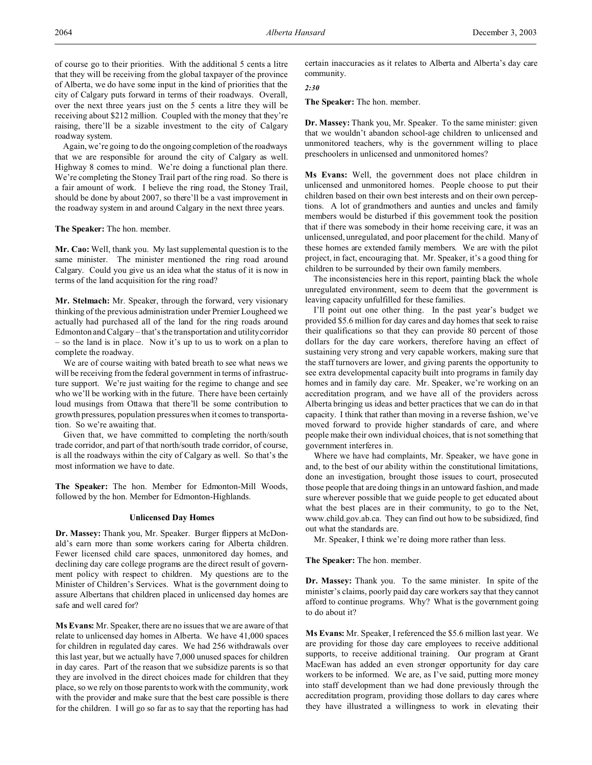of course go to their priorities. With the additional 5 cents a litre that they will be receiving from the global taxpayer of the province of Alberta, we do have some input in the kind of priorities that the city of Calgary puts forward in terms of their roadways. Overall, over the next three years just on the 5 cents a litre they will be receiving about \$212 million. Coupled with the money that they're raising, there'll be a sizable investment to the city of Calgary roadway system.

Again, we're going to do the ongoing completion of the roadways that we are responsible for around the city of Calgary as well. Highway 8 comes to mind. We're doing a functional plan there. We're completing the Stoney Trail part of the ring road. So there is a fair amount of work. I believe the ring road, the Stoney Trail, should be done by about 2007, so there'll be a vast improvement in the roadway system in and around Calgary in the next three years.

**The Speaker:** The hon. member.

**Mr. Cao:** Well, thank you. My last supplemental question is to the same minister. The minister mentioned the ring road around Calgary. Could you give us an idea what the status of it is now in terms of the land acquisition for the ring road?

**Mr. Stelmach:** Mr. Speaker, through the forward, very visionary thinking of the previous administration under Premier Lougheed we actually had purchased all of the land for the ring roads around Edmonton and Calgary – that's the transportation and utility corridor – so the land is in place. Now it's up to us to work on a plan to complete the roadway.

We are of course waiting with bated breath to see what news we will be receiving from the federal government in terms of infrastructure support. We're just waiting for the regime to change and see who we'll be working with in the future. There have been certainly loud musings from Ottawa that there'll be some contribution to growth pressures, population pressures when it comes to transportation. So we're awaiting that.

Given that, we have committed to completing the north/south trade corridor, and part of that north/south trade corridor, of course, is all the roadways within the city of Calgary as well. So that's the most information we have to date.

**The Speaker:** The hon. Member for Edmonton-Mill Woods, followed by the hon. Member for Edmonton-Highlands.

## **Unlicensed Day Homes**

**Dr. Massey:** Thank you, Mr. Speaker. Burger flippers at McDonald's earn more than some workers caring for Alberta children. Fewer licensed child care spaces, unmonitored day homes, and declining day care college programs are the direct result of government policy with respect to children. My questions are to the Minister of Children's Services. What is the government doing to assure Albertans that children placed in unlicensed day homes are safe and well cared for?

**Ms Evans:** Mr. Speaker, there are no issues that we are aware of that relate to unlicensed day homes in Alberta. We have 41,000 spaces for children in regulated day cares. We had 256 withdrawals over this last year, but we actually have 7,000 unused spaces for children in day cares. Part of the reason that we subsidize parents is so that they are involved in the direct choices made for children that they place, so we rely on those parents to work with the community, work with the provider and make sure that the best care possible is there for the children. I will go so far as to say that the reporting has had

certain inaccuracies as it relates to Alberta and Alberta's day care community.

*2:30*

**The Speaker:** The hon. member.

**Dr. Massey:** Thank you, Mr. Speaker. To the same minister: given that we wouldn't abandon school-age children to unlicensed and unmonitored teachers, why is the government willing to place preschoolers in unlicensed and unmonitored homes?

**Ms Evans:** Well, the government does not place children in unlicensed and unmonitored homes. People choose to put their children based on their own best interests and on their own perceptions. A lot of grandmothers and aunties and uncles and family members would be disturbed if this government took the position that if there was somebody in their home receiving care, it was an unlicensed, unregulated, and poor placement for the child. Many of these homes are extended family members. We are with the pilot project, in fact, encouraging that. Mr. Speaker, it's a good thing for children to be surrounded by their own family members.

The inconsistencies here in this report, painting black the whole unregulated environment, seem to deem that the government is leaving capacity unfulfilled for these families.

I'll point out one other thing. In the past year's budget we provided \$5.6 million for day cares and day homes that seek to raise their qualifications so that they can provide 80 percent of those dollars for the day care workers, therefore having an effect of sustaining very strong and very capable workers, making sure that the staff turnovers are lower, and giving parents the opportunity to see extra developmental capacity built into programs in family day homes and in family day care. Mr. Speaker, we're working on an accreditation program, and we have all of the providers across Alberta bringing us ideas and better practices that we can do in that capacity. I think that rather than moving in a reverse fashion, we've moved forward to provide higher standards of care, and where people make their own individual choices, that is not something that government interferes in.

Where we have had complaints, Mr. Speaker, we have gone in and, to the best of our ability within the constitutional limitations, done an investigation, brought those issues to court, prosecuted those people that are doing things in an untoward fashion, and made sure wherever possible that we guide people to get educated about what the best places are in their community, to go to the Net, www.child.gov.ab.ca. They can find out how to be subsidized, find out what the standards are.

Mr. Speaker, I think we're doing more rather than less.

**The Speaker:** The hon. member.

**Dr. Massey:** Thank you. To the same minister. In spite of the minister's claims, poorly paid day care workers say that they cannot afford to continue programs. Why? What is the government going to do about it?

**Ms Evans:** Mr. Speaker, I referenced the \$5.6 million last year. We are providing for those day care employees to receive additional supports, to receive additional training. Our program at Grant MacEwan has added an even stronger opportunity for day care workers to be informed. We are, as I've said, putting more money into staff development than we had done previously through the accreditation program, providing those dollars to day cares where they have illustrated a willingness to work in elevating their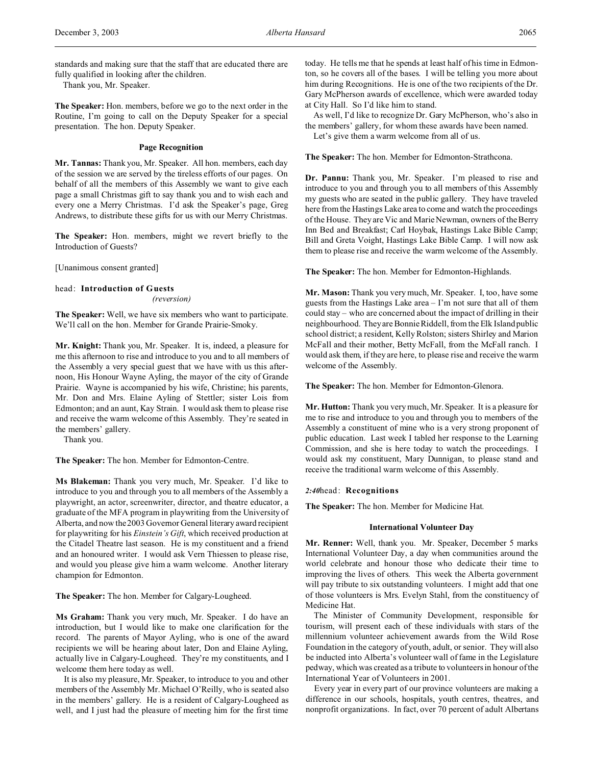standards and making sure that the staff that are educated there are fully qualified in looking after the children.

Thank you, Mr. Speaker.

**The Speaker:** Hon. members, before we go to the next order in the Routine, I'm going to call on the Deputy Speaker for a special presentation. The hon. Deputy Speaker.

## **Page Recognition**

**Mr. Tannas:** Thank you, Mr. Speaker. All hon. members, each day of the session we are served by the tireless efforts of our pages. On behalf of all the members of this Assembly we want to give each page a small Christmas gift to say thank you and to wish each and every one a Merry Christmas. I'd ask the Speaker's page, Greg Andrews, to distribute these gifts for us with our Merry Christmas.

**The Speaker:** Hon. members, might we revert briefly to the Introduction of Guests?

[Unanimous consent granted]

head: **Introduction of Guests**

*(reversion)*

**The Speaker:** Well, we have six members who want to participate. We'll call on the hon. Member for Grande Prairie-Smoky.

**Mr. Knight:** Thank you, Mr. Speaker. It is, indeed, a pleasure for me this afternoon to rise and introduce to you and to all members of the Assembly a very special guest that we have with us this afternoon, His Honour Wayne Ayling, the mayor of the city of Grande Prairie. Wayne is accompanied by his wife, Christine; his parents, Mr. Don and Mrs. Elaine Ayling of Stettler; sister Lois from Edmonton; and an aunt, Kay Strain. I would ask them to please rise and receive the warm welcome of this Assembly. They're seated in the members' gallery.

Thank you.

**The Speaker:** The hon. Member for Edmonton-Centre.

**Ms Blakeman:** Thank you very much, Mr. Speaker. I'd like to introduce to you and through you to all members of the Assembly a playwright, an actor, screenwriter, director, and theatre educator, a graduate of the MFA program in playwriting from the University of Alberta, and now the 2003 Governor General literary award recipient for playwriting for his *Einstein's Gift*, which received production at the Citadel Theatre last season. He is my constituent and a friend and an honoured writer. I would ask Vern Thiessen to please rise, and would you please give him a warm welcome. Another literary champion for Edmonton.

**The Speaker:** The hon. Member for Calgary-Lougheed.

**Ms Graham:** Thank you very much, Mr. Speaker. I do have an introduction, but I would like to make one clarification for the record. The parents of Mayor Ayling, who is one of the award recipients we will be hearing about later, Don and Elaine Ayling, actually live in Calgary-Lougheed. They're my constituents, and I welcome them here today as well.

It is also my pleasure, Mr. Speaker, to introduce to you and other members of the Assembly Mr. Michael O'Reilly, who is seated also in the members' gallery. He is a resident of Calgary-Lougheed as well, and I just had the pleasure of meeting him for the first time

today. He tells me that he spends at least half of his time in Edmonton, so he covers all of the bases. I will be telling you more about him during Recognitions. He is one of the two recipients of the Dr. Gary McPherson awards of excellence, which were awarded today at City Hall. So I'd like him to stand.

As well, I'd like to recognize Dr. Gary McPherson, who's also in the members' gallery, for whom these awards have been named.

Let's give them a warm welcome from all of us.

**The Speaker:** The hon. Member for Edmonton-Strathcona.

**Dr. Pannu:** Thank you, Mr. Speaker. I'm pleased to rise and introduce to you and through you to all members of this Assembly my guests who are seated in the public gallery. They have traveled here from the Hastings Lake area to come and watch the proceedings of the House. They are Vic and Marie Newman, owners of the Berry Inn Bed and Breakfast; Carl Hoybak, Hastings Lake Bible Camp; Bill and Greta Voight, Hastings Lake Bible Camp. I will now ask them to please rise and receive the warm welcome of the Assembly.

**The Speaker:** The hon. Member for Edmonton-Highlands.

**Mr. Mason:** Thank you very much, Mr. Speaker. I, too, have some guests from the Hastings Lake area – I'm not sure that all of them could stay – who are concerned about the impact of drilling in their neighbourhood. They are Bonnie Riddell, from the Elk Island public school district; a resident, Kelly Rolston; sisters Shirley and Marion McFall and their mother, Betty McFall, from the McFall ranch. I would ask them, if they are here, to please rise and receive the warm welcome of the Assembly.

**The Speaker:** The hon. Member for Edmonton-Glenora.

**Mr. Hutton:** Thank you very much, Mr. Speaker. It is a pleasure for me to rise and introduce to you and through you to members of the Assembly a constituent of mine who is a very strong proponent of public education. Last week I tabled her response to the Learning Commission, and she is here today to watch the proceedings. I would ask my constituent, Mary Dunnigan, to please stand and receive the traditional warm welcome of this Assembly.

*2:40*head: **Recognitions**

**The Speaker:** The hon. Member for Medicine Hat.

### **International Volunteer Day**

**Mr. Renner:** Well, thank you. Mr. Speaker, December 5 marks International Volunteer Day, a day when communities around the world celebrate and honour those who dedicate their time to improving the lives of others. This week the Alberta government will pay tribute to six outstanding volunteers. I might add that one of those volunteers is Mrs. Evelyn Stahl, from the constituency of Medicine Hat.

The Minister of Community Development, responsible for tourism, will present each of these individuals with stars of the millennium volunteer achievement awards from the Wild Rose Foundation in the category of youth, adult, or senior. They will also be inducted into Alberta's volunteer wall of fame in the Legislature pedway, which was created as a tribute to volunteers in honour of the International Year of Volunteers in 2001.

Every year in every part of our province volunteers are making a difference in our schools, hospitals, youth centres, theatres, and nonprofit organizations. In fact, over 70 percent of adult Albertans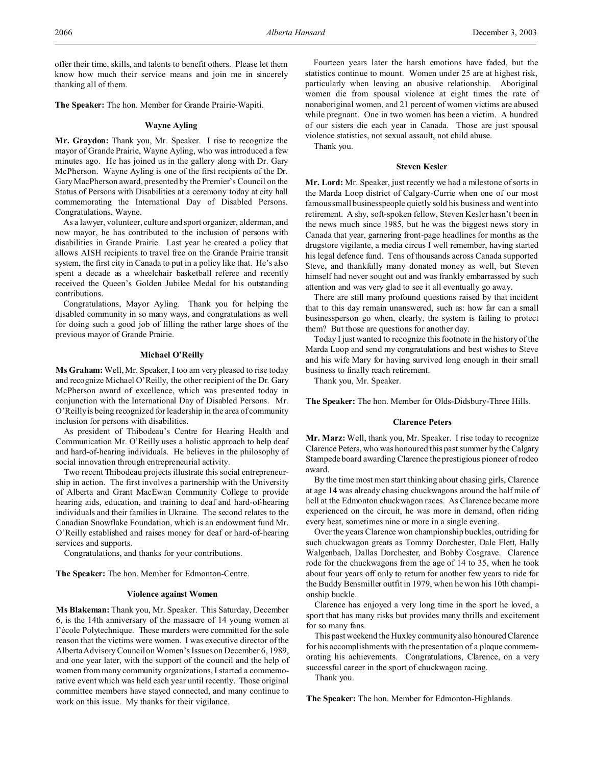offer their time, skills, and talents to benefit others. Please let them know how much their service means and join me in sincerely thanking all of them.

**The Speaker:** The hon. Member for Grande Prairie-Wapiti.

### **Wayne Ayling**

**Mr. Graydon:** Thank you, Mr. Speaker. I rise to recognize the mayor of Grande Prairie, Wayne Ayling, who was introduced a few minutes ago. He has joined us in the gallery along with Dr. Gary McPherson. Wayne Ayling is one of the first recipients of the Dr. Gary MacPherson award, presented by the Premier's Council on the Status of Persons with Disabilities at a ceremony today at city hall commemorating the International Day of Disabled Persons. Congratulations, Wayne.

As a lawyer, volunteer, culture and sport organizer, alderman, and now mayor, he has contributed to the inclusion of persons with disabilities in Grande Prairie. Last year he created a policy that allows AISH recipients to travel free on the Grande Prairie transit system, the first city in Canada to put in a policy like that. He's also spent a decade as a wheelchair basketball referee and recently received the Queen's Golden Jubilee Medal for his outstanding contributions.

Congratulations, Mayor Ayling. Thank you for helping the disabled community in so many ways, and congratulations as well for doing such a good job of filling the rather large shoes of the previous mayor of Grande Prairie.

## **Michael O'Reilly**

**Ms Graham:** Well, Mr. Speaker, I too am very pleased to rise today and recognize Michael O'Reilly, the other recipient of the Dr. Gary McPherson award of excellence, which was presented today in conjunction with the International Day of Disabled Persons. Mr. O'Reilly is being recognized for leadership in the area of community inclusion for persons with disabilities.

As president of Thibodeau's Centre for Hearing Health and Communication Mr. O'Reilly uses a holistic approach to help deaf and hard-of-hearing individuals. He believes in the philosophy of social innovation through entrepreneurial activity.

Two recent Thibodeau projects illustrate this social entrepreneurship in action. The first involves a partnership with the University of Alberta and Grant MacEwan Community College to provide hearing aids, education, and training to deaf and hard-of-hearing individuals and their families in Ukraine. The second relates to the Canadian Snowflake Foundation, which is an endowment fund Mr. O'Reilly established and raises money for deaf or hard-of-hearing services and supports.

Congratulations, and thanks for your contributions.

**The Speaker:** The hon. Member for Edmonton-Centre.

## **Violence against Women**

**Ms Blakeman:** Thank you, Mr. Speaker. This Saturday, December 6, is the 14th anniversary of the massacre of 14 young women at l'école Polytechnique. These murders were committed for the sole reason that the victims were women. I was executive director of the Alberta Advisory Council on Women's Issues on December 6, 1989, and one year later, with the support of the council and the help of women from many community organizations, I started a commemorative event which was held each year until recently. Those original committee members have stayed connected, and many continue to work on this issue. My thanks for their vigilance.

Fourteen years later the harsh emotions have faded, but the statistics continue to mount. Women under 25 are at highest risk, particularly when leaving an abusive relationship. Aboriginal women die from spousal violence at eight times the rate of nonaboriginal women, and 21 percent of women victims are abused while pregnant. One in two women has been a victim. A hundred of our sisters die each year in Canada. Those are just spousal violence statistics, not sexual assault, not child abuse.

Thank you.

#### **Steven Kesler**

**Mr. Lord:** Mr. Speaker, just recently we had a milestone of sorts in the Marda Loop district of Calgary-Currie when one of our most famous small businesspeople quietly sold his business and went into retirement. A shy, soft-spoken fellow, Steven Kesler hasn't been in the news much since 1985, but he was the biggest news story in Canada that year, garnering front-page headlines for months as the drugstore vigilante, a media circus I well remember, having started his legal defence fund. Tens of thousands across Canada supported Steve, and thankfully many donated money as well, but Steven himself had never sought out and was frankly embarrassed by such attention and was very glad to see it all eventually go away.

There are still many profound questions raised by that incident that to this day remain unanswered, such as: how far can a small businessperson go when, clearly, the system is failing to protect them? But those are questions for another day.

Today I just wanted to recognize this footnote in the history of the Marda Loop and send my congratulations and best wishes to Steve and his wife Mary for having survived long enough in their small business to finally reach retirement.

Thank you, Mr. Speaker.

**The Speaker:** The hon. Member for Olds-Didsbury-Three Hills.

#### **Clarence Peters**

**Mr. Marz:** Well, thank you, Mr. Speaker. I rise today to recognize Clarence Peters, who was honoured this past summer by the Calgary Stampede board awarding Clarence the prestigious pioneer of rodeo award.

By the time most men start thinking about chasing girls, Clarence at age 14 was already chasing chuckwagons around the half mile of hell at the Edmonton chuckwagon races. As Clarence became more experienced on the circuit, he was more in demand, often riding every heat, sometimes nine or more in a single evening.

Over the years Clarence won championship buckles, outriding for such chuckwagon greats as Tommy Dorchester, Dale Flett, Hally Walgenbach, Dallas Dorchester, and Bobby Cosgrave. Clarence rode for the chuckwagons from the age of 14 to 35, when he took about four years off only to return for another few years to ride for the Buddy Bensmiller outfit in 1979, when he won his 10th championship buckle.

Clarence has enjoyed a very long time in the sport he loved, a sport that has many risks but provides many thrills and excitement for so many fans.

This past weekend the Huxley community also honoured Clarence for his accomplishments with the presentation of a plaque commemorating his achievements. Congratulations, Clarence, on a very successful career in the sport of chuckwagon racing.

Thank you.

**The Speaker:** The hon. Member for Edmonton-Highlands.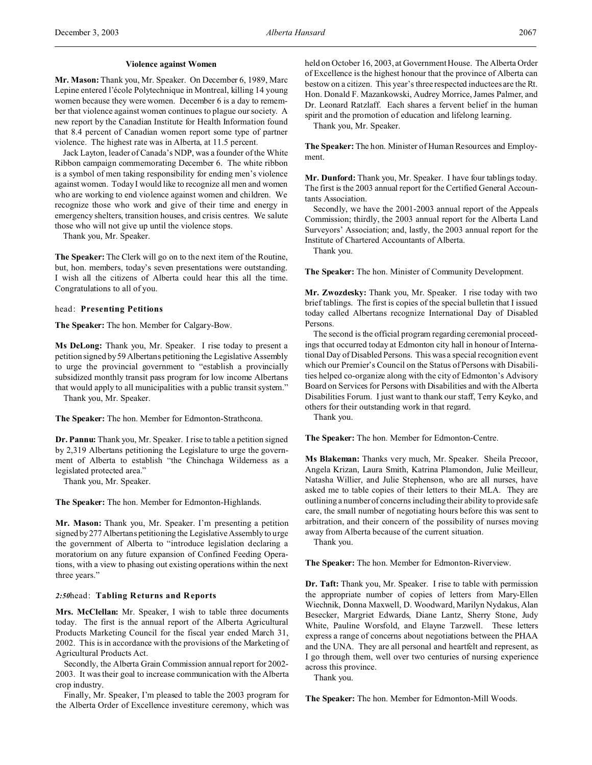### **Violence against Women**

**Mr. Mason:** Thank you, Mr. Speaker. On December 6, 1989, Marc Lepine entered l'école Polytechnique in Montreal, killing 14 young women because they were women. December 6 is a day to remember that violence against women continues to plague our society. A new report by the Canadian Institute for Health Information found that 8.4 percent of Canadian women report some type of partner violence. The highest rate was in Alberta, at 11.5 percent.

Jack Layton, leader of Canada's NDP, was a founder of the White Ribbon campaign commemorating December 6. The white ribbon is a symbol of men taking responsibility for ending men's violence against women. Today I would like to recognize all men and women who are working to end violence against women and children. We recognize those who work and give of their time and energy in emergency shelters, transition houses, and crisis centres. We salute those who will not give up until the violence stops.

Thank you, Mr. Speaker.

**The Speaker:** The Clerk will go on to the next item of the Routine, but, hon. members, today's seven presentations were outstanding. I wish all the citizens of Alberta could hear this all the time. Congratulations to all of you.

head: **Presenting Petitions**

**The Speaker:** The hon. Member for Calgary-Bow.

**Ms DeLong:** Thank you, Mr. Speaker. I rise today to present a petition signed by 59 Albertans petitioning the Legislative Assembly to urge the provincial government to "establish a provincially subsidized monthly transit pass program for low income Albertans that would apply to all municipalities with a public transit system." Thank you, Mr. Speaker.

**The Speaker:** The hon. Member for Edmonton-Strathcona.

**Dr. Pannu:** Thank you, Mr. Speaker. I rise to table a petition signed by 2,319 Albertans petitioning the Legislature to urge the government of Alberta to establish "the Chinchaga Wilderness as a legislated protected area."

Thank you, Mr. Speaker.

**The Speaker:** The hon. Member for Edmonton-Highlands.

**Mr. Mason:** Thank you, Mr. Speaker. I'm presenting a petition signed by277 Albertans petitioning the Legislative Assembly to urge the government of Alberta to "introduce legislation declaring a moratorium on any future expansion of Confined Feeding Operations, with a view to phasing out existing operations within the next three years."

## *2:50*head: **Tabling Returns and Reports**

**Mrs. McClellan:** Mr. Speaker, I wish to table three documents today. The first is the annual report of the Alberta Agricultural Products Marketing Council for the fiscal year ended March 31, 2002. This is in accordance with the provisions of the Marketing of Agricultural Products Act.

Secondly, the Alberta Grain Commission annual report for 2002- 2003. It was their goal to increase communication with the Alberta crop industry.

Finally, Mr. Speaker, I'm pleased to table the 2003 program for the Alberta Order of Excellence investiture ceremony, which was held on October 16, 2003, at Government House. The Alberta Order of Excellence is the highest honour that the province of Alberta can bestow on a citizen. This year's three respected inductees are the Rt. Hon. Donald F. Mazankowski, Audrey Morrice, James Palmer, and Dr. Leonard Ratzlaff. Each shares a fervent belief in the human spirit and the promotion of education and lifelong learning.

Thank you, Mr. Speaker.

**The Speaker:** The hon. Minister of Human Resources and Employment.

**Mr. Dunford:** Thank you, Mr. Speaker. I have four tablings today. The first is the 2003 annual report for the Certified General Accountants Association.

Secondly, we have the 2001-2003 annual report of the Appeals Commission; thirdly, the 2003 annual report for the Alberta Land Surveyors' Association; and, lastly, the 2003 annual report for the Institute of Chartered Accountants of Alberta.

Thank you.

**The Speaker:** The hon. Minister of Community Development.

**Mr. Zwozdesky:** Thank you, Mr. Speaker. I rise today with two brief tablings. The first is copies of the special bulletin that I issued today called Albertans recognize International Day of Disabled Persons.

The second is the official program regarding ceremonial proceedings that occurred today at Edmonton city hall in honour of International Day of Disabled Persons. This was a special recognition event which our Premier's Council on the Status of Persons with Disabilities helped co-organize along with the city of Edmonton's Advisory Board on Services for Persons with Disabilities and with the Alberta Disabilities Forum. I just want to thank our staff, Terry Keyko, and others for their outstanding work in that regard.

Thank you.

**The Speaker:** The hon. Member for Edmonton-Centre.

**Ms Blakeman:** Thanks very much, Mr. Speaker. Sheila Precoor, Angela Krizan, Laura Smith, Katrina Plamondon, Julie Meilleur, Natasha Willier, and Julie Stephenson, who are all nurses, have asked me to table copies of their letters to their MLA. They are outlining a number of concerns including their ability to provide safe care, the small number of negotiating hours before this was sent to arbitration, and their concern of the possibility of nurses moving away from Alberta because of the current situation.

Thank you.

**The Speaker:** The hon. Member for Edmonton-Riverview.

**Dr. Taft:** Thank you, Mr. Speaker. I rise to table with permission the appropriate number of copies of letters from Mary-Ellen Wiechnik, Donna Maxwell, D. Woodward, Marilyn Nydakus, Alan Besecker, Margriet Edwards, Diane Lantz, Sherry Stone, Judy White, Pauline Worsfold, and Elayne Tarzwell. These letters express a range of concerns about negotiations between the PHAA and the UNA. They are all personal and heartfelt and represent, as I go through them, well over two centuries of nursing experience across this province.

Thank you.

**The Speaker:** The hon. Member for Edmonton-Mill Woods.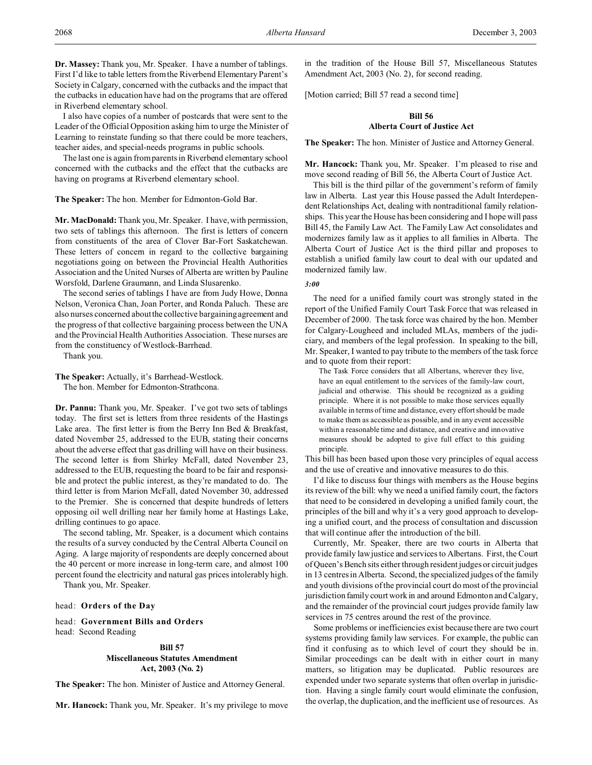I also have copies of a number of postcards that were sent to the Leader of the Official Opposition asking him to urge the Minister of Learning to reinstate funding so that there could be more teachers, teacher aides, and special-needs programs in public schools.

The last one is again from parents in Riverbend elementary school concerned with the cutbacks and the effect that the cutbacks are having on programs at Riverbend elementary school.

# **The Speaker:** The hon. Member for Edmonton-Gold Bar.

**Mr. MacDonald:** Thank you, Mr. Speaker. I have, with permission, two sets of tablings this afternoon. The first is letters of concern from constituents of the area of Clover Bar-Fort Saskatchewan. These letters of concern in regard to the collective bargaining negotiations going on between the Provincial Health Authorities Association and the United Nurses of Alberta are written by Pauline Worsfold, Darlene Graumann, and Linda Slusarenko.

The second series of tablings I have are from Judy Howe, Donna Nelson, Veronica Chan, Joan Porter, and Ronda Paluch. These are also nurses concerned about the collective bargaining agreement and the progress of that collective bargaining process between the UNA and the Provincial Health Authorities Association. These nurses are from the constituency of Westlock-Barrhead.

Thank you.

**The Speaker:** Actually, it's Barrhead-Westlock.

The hon. Member for Edmonton-Strathcona.

**Dr. Pannu:** Thank you, Mr. Speaker. I've got two sets of tablings today. The first set is letters from three residents of the Hastings Lake area. The first letter is from the Berry Inn Bed & Breakfast, dated November 25, addressed to the EUB, stating their concerns about the adverse effect that gas drilling will have on their business. The second letter is from Shirley McFall, dated November 23, addressed to the EUB, requesting the board to be fair and responsible and protect the public interest, as they're mandated to do. The third letter is from Marion McFall, dated November 30, addressed to the Premier. She is concerned that despite hundreds of letters opposing oil well drilling near her family home at Hastings Lake, drilling continues to go apace.

The second tabling, Mr. Speaker, is a document which contains the results of a survey conducted by the Central Alberta Council on Aging. A large majority of respondents are deeply concerned about the 40 percent or more increase in long-term care, and almost 100 percent found the electricity and natural gas prices intolerably high.

Thank you, Mr. Speaker.

## head: **Orders of the Day**

head: **Government Bills and Orders** head: Second Reading

## **Bill 57 Miscellaneous Statutes Amendment Act, 2003 (No. 2)**

**The Speaker:** The hon. Minister of Justice and Attorney General.

**Mr. Hancock:** Thank you, Mr. Speaker. It's my privilege to move

in the tradition of the House Bill 57, Miscellaneous Statutes Amendment Act, 2003 (No. 2), for second reading.

[Motion carried; Bill 57 read a second time]

# **Bill 56 Alberta Court of Justice Act**

**The Speaker:** The hon. Minister of Justice and Attorney General.

**Mr. Hancock:** Thank you, Mr. Speaker. I'm pleased to rise and move second reading of Bill 56, the Alberta Court of Justice Act.

This bill is the third pillar of the government's reform of family law in Alberta. Last year this House passed the Adult Interdependent Relationships Act, dealing with nontraditional family relationships. This year the House has been considering and I hope will pass Bill 45, the Family Law Act. The Family Law Act consolidates and modernizes family law as it applies to all families in Alberta. The Alberta Court of Justice Act is the third pillar and proposes to establish a unified family law court to deal with our updated and modernized family law.

#### *3:00*

The need for a unified family court was strongly stated in the report of the Unified Family Court Task Force that was released in December of 2000. The task force was chaired by the hon. Member for Calgary-Lougheed and included MLAs, members of the judiciary, and members of the legal profession. In speaking to the bill, Mr. Speaker, I wanted to pay tribute to the members of the task force and to quote from their report:

The Task Force considers that all Albertans, wherever they live, have an equal entitlement to the services of the family-law court, judicial and otherwise. This should be recognized as a guiding principle. Where it is not possible to make those services equally available in terms of time and distance, every effort should be made to make them as accessible as possible, and in any event accessible within a reasonable time and distance, and creative and innovative measures should be adopted to give full effect to this guiding principle.

This bill has been based upon those very principles of equal access and the use of creative and innovative measures to do this.

I'd like to discuss four things with members as the House begins its review of the bill: why we need a unified family court, the factors that need to be considered in developing a unified family court, the principles of the bill and why it's a very good approach to developing a unified court, and the process of consultation and discussion that will continue after the introduction of the bill.

Currently, Mr. Speaker, there are two courts in Alberta that provide family law justice and services to Albertans. First, the Court of Queen's Bench sits either through resident judges or circuit judges in 13 centres in Alberta. Second, the specialized judges of the family and youth divisions of the provincial court do most of the provincial jurisdiction family court work in and around Edmonton and Calgary, and the remainder of the provincial court judges provide family law services in 75 centres around the rest of the province.

Some problems or inefficiencies exist because there are two court systems providing family law services. For example, the public can find it confusing as to which level of court they should be in. Similar proceedings can be dealt with in either court in many matters, so litigation may be duplicated. Public resources are expended under two separate systems that often overlap in jurisdiction. Having a single family court would eliminate the confusion, the overlap, the duplication, and the inefficient use of resources. As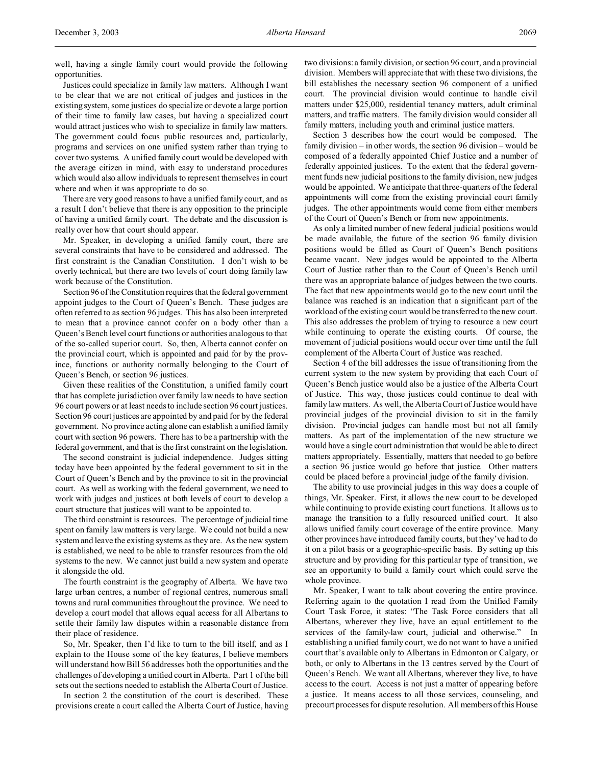well, having a single family court would provide the following opportunities.

Justices could specialize in family law matters. Although I want to be clear that we are not critical of judges and justices in the existing system, some justices do specialize or devote a large portion of their time to family law cases, but having a specialized court would attract justices who wish to specialize in family law matters. The government could focus public resources and, particularly, programs and services on one unified system rather than trying to cover two systems. A unified family court would be developed with the average citizen in mind, with easy to understand procedures which would also allow individuals to represent themselves in court where and when it was appropriate to do so.

There are very good reasons to have a unified family court, and as a result I don't believe that there is any opposition to the principle of having a unified family court. The debate and the discussion is really over how that court should appear.

Mr. Speaker, in developing a unified family court, there are several constraints that have to be considered and addressed. The first constraint is the Canadian Constitution. I don't wish to be overly technical, but there are two levels of court doing family law work because of the Constitution.

Section 96 of the Constitution requires that the federal government appoint judges to the Court of Queen's Bench. These judges are often referred to as section 96 judges. This has also been interpreted to mean that a province cannot confer on a body other than a Queen's Bench level court functions or authorities analogous to that of the so-called superior court. So, then, Alberta cannot confer on the provincial court, which is appointed and paid for by the province, functions or authority normally belonging to the Court of Queen's Bench, or section 96 justices.

Given these realities of the Constitution, a unified family court that has complete jurisdiction over family law needs to have section 96 court powers or at least needs to include section 96 court justices. Section 96 court justices are appointed by and paid for by the federal government. No province acting alone can establish a unified family court with section 96 powers. There has to be a partnership with the federal government, and that is the first constraint on the legislation.

The second constraint is judicial independence. Judges sitting today have been appointed by the federal government to sit in the Court of Queen's Bench and by the province to sit in the provincial court. As well as working with the federal government, we need to work with judges and justices at both levels of court to develop a court structure that justices will want to be appointed to.

The third constraint is resources. The percentage of judicial time spent on family law matters is very large. We could not build a new system and leave the existing systems as they are. As the new system is established, we need to be able to transfer resources from the old systems to the new. We cannot just build a new system and operate it alongside the old.

The fourth constraint is the geography of Alberta. We have two large urban centres, a number of regional centres, numerous small towns and rural communities throughout the province. We need to develop a court model that allows equal access for all Albertans to settle their family law disputes within a reasonable distance from their place of residence.

So, Mr. Speaker, then I'd like to turn to the bill itself, and as I explain to the House some of the key features, I believe members will understand how Bill 56 addresses both the opportunities and the challenges of developing a unified court in Alberta. Part 1 of the bill sets out the sections needed to establish the Alberta Court of Justice.

In section 2 the constitution of the court is described. These provisions create a court called the Alberta Court of Justice, having two divisions: a family division, or section 96 court, and a provincial division. Members will appreciate that with these two divisions, the bill establishes the necessary section 96 component of a unified court. The provincial division would continue to handle civil matters under \$25,000, residential tenancy matters, adult criminal matters, and traffic matters. The family division would consider all family matters, including youth and criminal justice matters.

Section 3 describes how the court would be composed. The family division – in other words, the section 96 division – would be composed of a federally appointed Chief Justice and a number of federally appointed justices. To the extent that the federal government funds new judicial positions to the family division, new judges would be appointed. We anticipate that three-quarters of the federal appointments will come from the existing provincial court family judges. The other appointments would come from either members of the Court of Queen's Bench or from new appointments.

As only a limited number of new federal judicial positions would be made available, the future of the section 96 family division positions would be filled as Court of Queen's Bench positions became vacant. New judges would be appointed to the Alberta Court of Justice rather than to the Court of Queen's Bench until there was an appropriate balance of judges between the two courts. The fact that new appointments would go to the new court until the balance was reached is an indication that a significant part of the workload of the existing court would be transferred to the new court. This also addresses the problem of trying to resource a new court while continuing to operate the existing courts. Of course, the movement of judicial positions would occur over time until the full complement of the Alberta Court of Justice was reached.

Section 4 of the bill addresses the issue of transitioning from the current system to the new system by providing that each Court of Queen's Bench justice would also be a justice of the Alberta Court of Justice. This way, those justices could continue to deal with family law matters. As well, the Alberta Court of Justice would have provincial judges of the provincial division to sit in the family division. Provincial judges can handle most but not all family matters. As part of the implementation of the new structure we would have a single court administration that would be able to direct matters appropriately. Essentially, matters that needed to go before a section 96 justice would go before that justice. Other matters could be placed before a provincial judge of the family division.

The ability to use provincial judges in this way does a couple of things, Mr. Speaker. First, it allows the new court to be developed while continuing to provide existing court functions. It allows us to manage the transition to a fully resourced unified court. It also allows unified family court coverage of the entire province. Many other provinces have introduced family courts, but they've had to do it on a pilot basis or a geographic-specific basis. By setting up this structure and by providing for this particular type of transition, we see an opportunity to build a family court which could serve the whole province.

Mr. Speaker, I want to talk about covering the entire province. Referring again to the quotation I read from the Unified Family Court Task Force, it states: "The Task Force considers that all Albertans, wherever they live, have an equal entitlement to the services of the family-law court, judicial and otherwise." In establishing a unified family court, we do not want to have a unified court that's available only to Albertans in Edmonton or Calgary, or both, or only to Albertans in the 13 centres served by the Court of Queen's Bench. We want all Albertans, wherever they live, to have access to the court. Access is not just a matter of appearing before a justice. It means access to all those services, counseling, and precourt processes for dispute resolution. All members of this House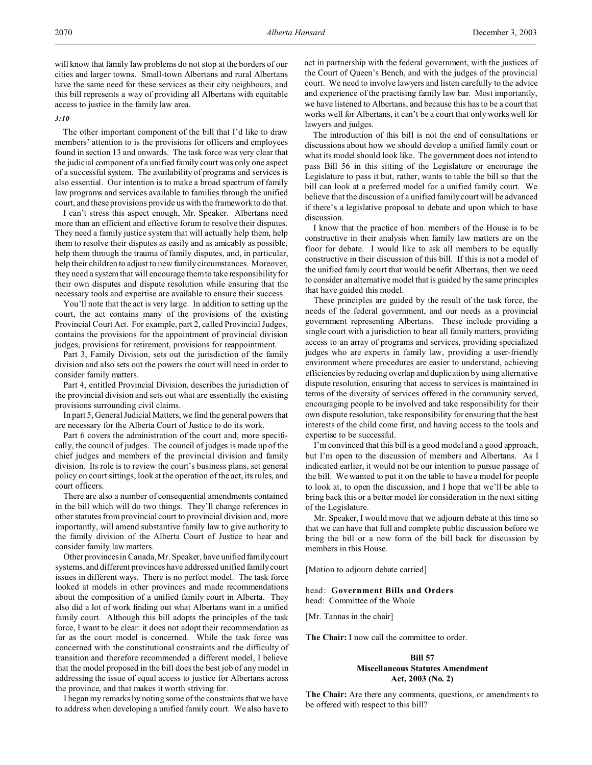will know that family law problems do not stop at the borders of our cities and larger towns. Small-town Albertans and rural Albertans have the same need for these services as their city neighbours, and this bill represents a way of providing all Albertans with equitable access to justice in the family law area.

## *3:10*

The other important component of the bill that I'd like to draw members' attention to is the provisions for officers and employees found in section 13 and onwards. The task force was very clear that the judicial component of a unified family court was only one aspect of a successful system. The availability of programs and services is also essential. Our intention is to make a broad spectrum of family law programs and services available to families through the unified court, and these provisions provide us with the framework to do that.

I can't stress this aspect enough, Mr. Speaker. Albertans need more than an efficient and effective forum to resolve their disputes. They need a family justice system that will actually help them, help them to resolve their disputes as easily and as amicably as possible, help them through the trauma of family disputes, and, in particular, help their children to adjust to new family circumstances. Moreover, they need a system that will encourage them to take responsibility for their own disputes and dispute resolution while ensuring that the necessary tools and expertise are available to ensure their success.

You'll note that the act is very large. In addition to setting up the court, the act contains many of the provisions of the existing Provincial Court Act. For example, part 2, called Provincial Judges, contains the provisions for the appointment of provincial division judges, provisions for retirement, provisions for reappointment.

Part 3, Family Division, sets out the jurisdiction of the family division and also sets out the powers the court will need in order to consider family matters.

Part 4, entitled Provincial Division, describes the jurisdiction of the provincial division and sets out what are essentially the existing provisions surrounding civil claims.

In part 5, General Judicial Matters, we find the general powers that are necessary for the Alberta Court of Justice to do its work.

Part 6 covers the administration of the court and, more specifically, the council of judges. The council of judges is made up of the chief judges and members of the provincial division and family division. Its role is to review the court's business plans, set general policy on court sittings, look at the operation of the act, its rules, and court officers.

There are also a number of consequential amendments contained in the bill which will do two things. They'll change references in other statutes from provincial court to provincial division and, more importantly, will amend substantive family law to give authority to the family division of the Alberta Court of Justice to hear and consider family law matters.

Other provinces in Canada, Mr. Speaker, have unified family court systems, and different provinces have addressed unified family court issues in different ways. There is no perfect model. The task force looked at models in other provinces and made recommendations about the composition of a unified family court in Alberta. They also did a lot of work finding out what Albertans want in a unified family court. Although this bill adopts the principles of the task force, I want to be clear: it does not adopt their recommendation as far as the court model is concerned. While the task force was concerned with the constitutional constraints and the difficulty of transition and therefore recommended a different model, I believe that the model proposed in the bill does the best job of any model in addressing the issue of equal access to justice for Albertans across the province, and that makes it worth striving for.

I began my remarks by noting some of the constraints that we have to address when developing a unified family court. We also have to act in partnership with the federal government, with the justices of the Court of Queen's Bench, and with the judges of the provincial court. We need to involve lawyers and listen carefully to the advice and experience of the practising family law bar. Most importantly, we have listened to Albertans, and because this has to be a court that works well for Albertans, it can't be a court that only works well for lawyers and judges.

The introduction of this bill is not the end of consultations or discussions about how we should develop a unified family court or what its model should look like. The government does not intend to pass Bill 56 in this sitting of the Legislature or encourage the Legislature to pass it but, rather, wants to table the bill so that the bill can look at a preferred model for a unified family court. We believe that the discussion of a unified family court will be advanced if there's a legislative proposal to debate and upon which to base discussion.

I know that the practice of hon. members of the House is to be constructive in their analysis when family law matters are on the floor for debate. I would like to ask all members to be equally constructive in their discussion of this bill. If this is not a model of the unified family court that would benefit Albertans, then we need to consider an alternative model that is guided by the same principles that have guided this model.

These principles are guided by the result of the task force, the needs of the federal government, and our needs as a provincial government representing Albertans. These include providing a single court with a jurisdiction to hear all family matters, providing access to an array of programs and services, providing specialized judges who are experts in family law, providing a user-friendly environment where procedures are easier to understand, achieving efficiencies by reducing overlap and duplication by using alternative dispute resolution, ensuring that access to services is maintained in terms of the diversity of services offered in the community served, encouraging people to be involved and take responsibility for their own dispute resolution, take responsibility for ensuring that the best interests of the child come first, and having access to the tools and expertise to be successful.

I'm convinced that this bill is a good model and a good approach, but I'm open to the discussion of members and Albertans. As I indicated earlier, it would not be our intention to pursue passage of the bill. We wanted to put it on the table to have a model for people to look at, to open the discussion, and I hope that we'll be able to bring back this or a better model for consideration in the next sitting of the Legislature.

Mr. Speaker, I would move that we adjourn debate at this time so that we can have that full and complete public discussion before we bring the bill or a new form of the bill back for discussion by members in this House.

[Motion to adjourn debate carried]

head: **Government Bills and Orders** head: Committee of the Whole

[Mr. Tannas in the chair]

**The Chair:** I now call the committee to order.

## **Bill 57 Miscellaneous Statutes Amendment Act, 2003 (No. 2)**

**The Chair:** Are there any comments, questions, or amendments to be offered with respect to this bill?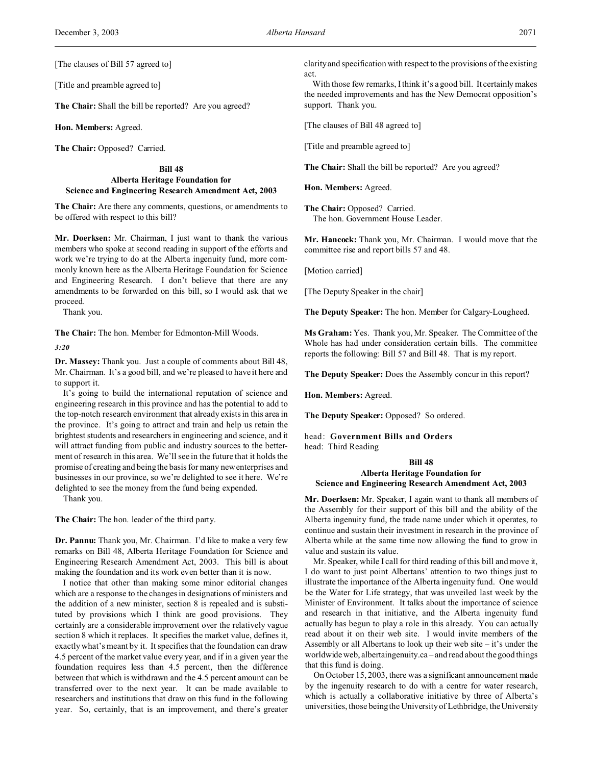[The clauses of Bill 57 agreed to]

[Title and preamble agreed to]

**The Chair:** Shall the bill be reported? Are you agreed?

**Hon. Members:** Agreed.

**The Chair:** Opposed? Carried.

**Bill 48 Alberta Heritage Foundation for Science and Engineering Research Amendment Act, 2003**

**The Chair:** Are there any comments, questions, or amendments to be offered with respect to this bill?

**Mr. Doerksen:** Mr. Chairman, I just want to thank the various members who spoke at second reading in support of the efforts and work we're trying to do at the Alberta ingenuity fund, more commonly known here as the Alberta Heritage Foundation for Science and Engineering Research. I don't believe that there are any amendments to be forwarded on this bill, so I would ask that we proceed.

Thank you.

**The Chair:** The hon. Member for Edmonton-Mill Woods. *3:20*

**Dr. Massey:** Thank you. Just a couple of comments about Bill 48, Mr. Chairman. It's a good bill, and we're pleased to have it here and to support it.

It's going to build the international reputation of science and engineering research in this province and has the potential to add to the top-notch research environment that already exists in this area in the province. It's going to attract and train and help us retain the brightest students and researchers in engineering and science, and it will attract funding from public and industry sources to the betterment of research in this area. We'll see in the future that it holds the promise of creating and being the basis for many new enterprises and businesses in our province, so we're delighted to see it here. We're delighted to see the money from the fund being expended.

Thank you.

**The Chair:** The hon. leader of the third party.

**Dr. Pannu:** Thank you, Mr. Chairman. I'd like to make a very few remarks on Bill 48, Alberta Heritage Foundation for Science and Engineering Research Amendment Act, 2003. This bill is about making the foundation and its work even better than it is now.

I notice that other than making some minor editorial changes which are a response to the changes in designations of ministers and the addition of a new minister, section 8 is repealed and is substituted by provisions which I think are good provisions. They certainly are a considerable improvement over the relatively vague section 8 which it replaces. It specifies the market value, defines it, exactly what's meant by it. It specifies that the foundation can draw 4.5 percent of the market value every year, and if in a given year the foundation requires less than 4.5 percent, then the difference between that which is withdrawn and the 4.5 percent amount can be transferred over to the next year. It can be made available to researchers and institutions that draw on this fund in the following year. So, certainly, that is an improvement, and there's greater

clarity and specification with respect to the provisions of the existing act.

With those few remarks, I think it's a good bill. It certainly makes the needed improvements and has the New Democrat opposition's support. Thank you.

[The clauses of Bill 48 agreed to]

[Title and preamble agreed to]

**The Chair:** Shall the bill be reported? Are you agreed?

**Hon. Members:** Agreed.

**The Chair:** Opposed? Carried. The hon. Government House Leader.

**Mr. Hancock:** Thank you, Mr. Chairman. I would move that the committee rise and report bills 57 and 48.

[Motion carried]

[The Deputy Speaker in the chair]

**The Deputy Speaker:** The hon. Member for Calgary-Lougheed.

**Ms Graham:** Yes. Thank you, Mr. Speaker. The Committee of the Whole has had under consideration certain bills. The committee reports the following: Bill 57 and Bill 48. That is my report.

**The Deputy Speaker:** Does the Assembly concur in this report?

**Hon. Members:** Agreed.

**The Deputy Speaker:** Opposed? So ordered.

head: **Government Bills and Orders** head: Third Reading

## **Bill 48 Alberta Heritage Foundation for Science and Engineering Research Amendment Act, 2003**

**Mr. Doerksen:** Mr. Speaker, I again want to thank all members of the Assembly for their support of this bill and the ability of the Alberta ingenuity fund, the trade name under which it operates, to continue and sustain their investment in research in the province of Alberta while at the same time now allowing the fund to grow in value and sustain its value.

Mr. Speaker, while I call for third reading of this bill and move it, I do want to just point Albertans' attention to two things just to illustrate the importance of the Alberta ingenuity fund. One would be the Water for Life strategy, that was unveiled last week by the Minister of Environment. It talks about the importance of science and research in that initiative, and the Alberta ingenuity fund actually has begun to play a role in this already. You can actually read about it on their web site. I would invite members of the Assembly or all Albertans to look up their web site – it's under the worldwide web, albertaingenuity.ca – and read about the good things that this fund is doing.

On October 15, 2003, there was a significant announcement made by the ingenuity research to do with a centre for water research, which is actually a collaborative initiative by three of Alberta's universities, those being the University of Lethbridge, the University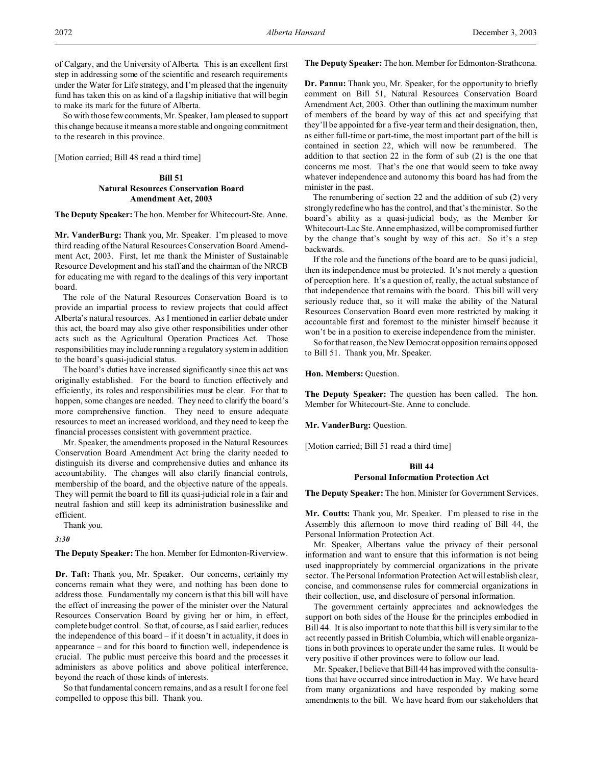of Calgary, and the University of Alberta. This is an excellent first step in addressing some of the scientific and research requirements under the Water for Life strategy, and I'm pleased that the ingenuity fund has taken this on as kind of a flagship initiative that will begin to make its mark for the future of Alberta.

So with those few comments, Mr. Speaker, I am pleased to support this change because it means a more stable and ongoing commitment to the research in this province.

[Motion carried; Bill 48 read a third time]

## **Bill 51 Natural Resources Conservation Board Amendment Act, 2003**

**The Deputy Speaker:** The hon. Member for Whitecourt-Ste. Anne.

**Mr. VanderBurg:** Thank you, Mr. Speaker. I'm pleased to move third reading of the Natural Resources Conservation Board Amendment Act, 2003. First, let me thank the Minister of Sustainable Resource Development and his staff and the chairman of the NRCB for educating me with regard to the dealings of this very important board.

The role of the Natural Resources Conservation Board is to provide an impartial process to review projects that could affect Alberta's natural resources. As I mentioned in earlier debate under this act, the board may also give other responsibilities under other acts such as the Agricultural Operation Practices Act. Those responsibilities may include running a regulatory system in addition to the board's quasi-judicial status.

The board's duties have increased significantly since this act was originally established. For the board to function effectively and efficiently, its roles and responsibilities must be clear. For that to happen, some changes are needed. They need to clarify the board's more comprehensive function. They need to ensure adequate resources to meet an increased workload, and they need to keep the financial processes consistent with government practice.

Mr. Speaker, the amendments proposed in the Natural Resources Conservation Board Amendment Act bring the clarity needed to distinguish its diverse and comprehensive duties and enhance its accountability. The changes will also clarify financial controls, membership of the board, and the objective nature of the appeals. They will permit the board to fill its quasi-judicial role in a fair and neutral fashion and still keep its administration businesslike and efficient.

Thank you.

*3:30*

**The Deputy Speaker:** The hon. Member for Edmonton-Riverview.

**Dr. Taft:** Thank you, Mr. Speaker. Our concerns, certainly my concerns remain what they were, and nothing has been done to address those. Fundamentally my concern is that this bill will have the effect of increasing the power of the minister over the Natural Resources Conservation Board by giving her or him, in effect, complete budget control. So that, of course, as I said earlier, reduces the independence of this board – if it doesn't in actuality, it does in appearance – and for this board to function well, independence is crucial. The public must perceive this board and the processes it administers as above politics and above political interference, beyond the reach of those kinds of interests.

So that fundamental concern remains, and as a result I for one feel compelled to oppose this bill. Thank you.

**The Deputy Speaker:** The hon. Member for Edmonton-Strathcona.

**Dr. Pannu:** Thank you, Mr. Speaker, for the opportunity to briefly comment on Bill 51, Natural Resources Conservation Board Amendment Act, 2003. Other than outlining the maximum number of members of the board by way of this act and specifying that they'll be appointed for a five-year term and their designation, then, as either full-time or part-time, the most important part of the bill is contained in section 22, which will now be renumbered. The addition to that section 22 in the form of sub (2) is the one that concerns me most. That's the one that would seem to take away whatever independence and autonomy this board has had from the minister in the past.

The renumbering of section 22 and the addition of sub (2) very strongly redefine who has the control, and that's the minister. So the board's ability as a quasi-judicial body, as the Member for Whitecourt-Lac Ste. Anne emphasized, will be compromised further by the change that's sought by way of this act. So it's a step backwards.

If the role and the functions of the board are to be quasi judicial, then its independence must be protected. It's not merely a question of perception here. It's a question of, really, the actual substance of that independence that remains with the board. This bill will very seriously reduce that, so it will make the ability of the Natural Resources Conservation Board even more restricted by making it accountable first and foremost to the minister himself because it won't be in a position to exercise independence from the minister.

So for that reason, the New Democrat opposition remains opposed to Bill 51. Thank you, Mr. Speaker.

### **Hon. Members:** Question.

**The Deputy Speaker:** The question has been called. The hon. Member for Whitecourt-Ste. Anne to conclude.

**Mr. VanderBurg:** Question.

[Motion carried; Bill 51 read a third time]

## **Bill 44**

## **Personal Information Protection Act**

**The Deputy Speaker:** The hon. Minister for Government Services.

**Mr. Coutts:** Thank you, Mr. Speaker. I'm pleased to rise in the Assembly this afternoon to move third reading of Bill 44, the Personal Information Protection Act.

Mr. Speaker, Albertans value the privacy of their personal information and want to ensure that this information is not being used inappropriately by commercial organizations in the private sector. The Personal Information Protection Act will establish clear, concise, and commonsense rules for commercial organizations in their collection, use, and disclosure of personal information.

The government certainly appreciates and acknowledges the support on both sides of the House for the principles embodied in Bill 44. It is also important to note that this bill is very similar to the act recently passed in British Columbia, which will enable organizations in both provinces to operate under the same rules. It would be very positive if other provinces were to follow our lead.

Mr. Speaker, I believe that Bill 44 has improved with the consultations that have occurred since introduction in May. We have heard from many organizations and have responded by making some amendments to the bill. We have heard from our stakeholders that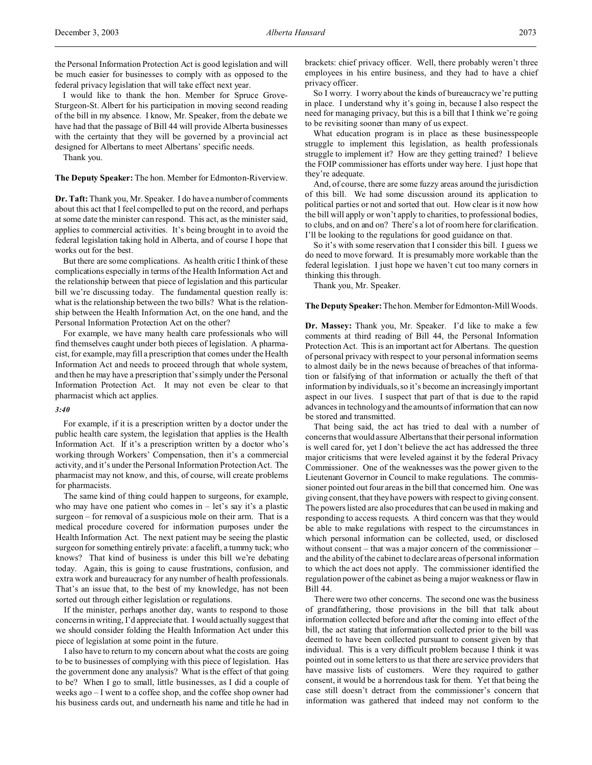the Personal Information Protection Act is good legislation and will be much easier for businesses to comply with as opposed to the federal privacy legislation that will take effect next year.

I would like to thank the hon. Member for Spruce Grove-Sturgeon-St. Albert for his participation in moving second reading of the bill in my absence. I know, Mr. Speaker, from the debate we have had that the passage of Bill 44 will provide Alberta businesses with the certainty that they will be governed by a provincial act designed for Albertans to meet Albertans' specific needs.

Thank you.

**The Deputy Speaker:** The hon. Member for Edmonton-Riverview.

**Dr. Taft:** Thank you, Mr. Speaker. I do have a number of comments about this act that I feel compelled to put on the record, and perhaps at some date the minister can respond. This act, as the minister said, applies to commercial activities. It's being brought in to avoid the federal legislation taking hold in Alberta, and of course I hope that works out for the best.

But there are some complications. As health critic I think of these complications especially in terms of the Health Information Act and the relationship between that piece of legislation and this particular bill we're discussing today. The fundamental question really is: what is the relationship between the two bills? What is the relationship between the Health Information Act, on the one hand, and the Personal Information Protection Act on the other?

For example, we have many health care professionals who will find themselves caught under both pieces of legislation. A pharmacist, for example, may fill a prescription that comes under the Health Information Act and needs to proceed through that whole system, and then he may have a prescription that's simply under the Personal Information Protection Act. It may not even be clear to that pharmacist which act applies.

### *3:40*

For example, if it is a prescription written by a doctor under the public health care system, the legislation that applies is the Health Information Act. If it's a prescription written by a doctor who's working through Workers' Compensation, then it's a commercial activity, and it's under the Personal Information Protection Act. The pharmacist may not know, and this, of course, will create problems for pharmacists.

The same kind of thing could happen to surgeons, for example, who may have one patient who comes in  $-$  let's say it's a plastic surgeon – for removal of a suspicious mole on their arm. That is a medical procedure covered for information purposes under the Health Information Act. The next patient may be seeing the plastic surgeon for something entirely private: a facelift, a tummy tuck; who knows? That kind of business is under this bill we're debating today. Again, this is going to cause frustrations, confusion, and extra work and bureaucracy for any number of health professionals. That's an issue that, to the best of my knowledge, has not been sorted out through either legislation or regulations.

If the minister, perhaps another day, wants to respond to those concerns in writing, I'd appreciate that. I would actually suggest that we should consider folding the Health Information Act under this piece of legislation at some point in the future.

I also have to return to my concern about what the costs are going to be to businesses of complying with this piece of legislation. Has the government done any analysis? What is the effect of that going to be? When I go to small, little businesses, as I did a couple of weeks ago – I went to a coffee shop, and the coffee shop owner had his business cards out, and underneath his name and title he had in brackets: chief privacy officer. Well, there probably weren't three employees in his entire business, and they had to have a chief privacy officer.

So I worry. I worry about the kinds of bureaucracy we're putting in place. I understand why it's going in, because I also respect the need for managing privacy, but this is a bill that I think we're going to be revisiting sooner than many of us expect.

What education program is in place as these businesspeople struggle to implement this legislation, as health professionals struggle to implement it? How are they getting trained? I believe the FOIP commissioner has efforts under way here. I just hope that they're adequate.

And, of course, there are some fuzzy areas around the jurisdiction of this bill. We had some discussion around its application to political parties or not and sorted that out. How clear is it now how the bill will apply or won't apply to charities, to professional bodies, to clubs, and on and on? There's a lot of room here for clarification. I'll be looking to the regulations for good guidance on that.

So it's with some reservation that I consider this bill. I guess we do need to move forward. It is presumably more workable than the federal legislation. I just hope we haven't cut too many corners in thinking this through.

Thank you, Mr. Speaker.

#### **The Deputy Speaker:** The hon. Member for Edmonton-Mill Woods.

**Dr. Massey:** Thank you, Mr. Speaker. I'd like to make a few comments at third reading of Bill 44, the Personal Information Protection Act. This is an important act for Albertans. The question of personal privacy with respect to your personal information seems to almost daily be in the news because of breaches of that information or falsifying of that information or actually the theft of that information by individuals, so it's become an increasingly important aspect in our lives. I suspect that part of that is due to the rapid advances in technology and the amounts of information that can now be stored and transmitted.

That being said, the act has tried to deal with a number of concerns that would assure Albertans that their personal information is well cared for, yet I don't believe the act has addressed the three major criticisms that were leveled against it by the federal Privacy Commissioner. One of the weaknesses was the power given to the Lieutenant Governor in Council to make regulations. The commissioner pointed out four areas in the bill that concerned him. One was giving consent, that they have powers with respect to giving consent. The powers listed are also procedures that can be used in making and responding to access requests. A third concern was that they would be able to make regulations with respect to the circumstances in which personal information can be collected, used, or disclosed without consent – that was a major concern of the commissioner – and the ability of the cabinet to declare areas of personal information to which the act does not apply. The commissioner identified the regulation power of the cabinet as being a major weakness or flaw in Bill 44.

There were two other concerns. The second one was the business of grandfathering, those provisions in the bill that talk about information collected before and after the coming into effect of the bill, the act stating that information collected prior to the bill was deemed to have been collected pursuant to consent given by that individual. This is a very difficult problem because I think it was pointed out in some letters to us that there are service providers that have massive lists of customers. Were they required to gather consent, it would be a horrendous task for them. Yet that being the case still doesn't detract from the commissioner's concern that information was gathered that indeed may not conform to the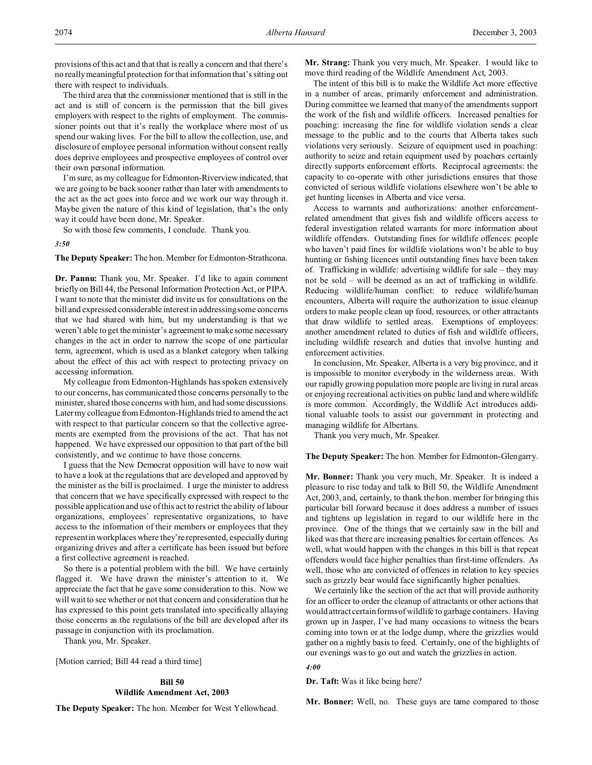provisions of this act and that that is really a concern and that there's no really meaningful protection for that information that's sitting out there with respect to individuals.

The third area that the commissioner mentioned that is still in the act and is still of concern is the permission that the bill gives employers with respect to the rights of employment. The commissioner points out that it's really the workplace where most of us spend our waking lives. For the bill to allow the collection, use, and disclosure of employee personal information without consent really does deprive employees and prospective employees of control over their own personal information.

I'm sure, as my colleague for Edmonton-Riverview indicated, that we are going to be back sooner rather than later with amendments to the act as the act goes into force and we work our way through it. Maybe given the nature of this kind of legislation, that's the only way it could have been done, Mr. Speaker.

So with those few comments, I conclude. Thank you.

*3:50*

**The Deputy Speaker:** The hon. Member for Edmonton-Strathcona.

**Dr. Pannu:** Thank you, Mr. Speaker. I'd like to again comment briefly on Bill 44, the Personal Information Protection Act, or PIPA. I want to note that the minister did invite us for consultations on the bill and expressed considerable interest in addressing some concerns that we had shared with him, but my understanding is that we weren't able to get the minister's agreement to make some necessary changes in the act in order to narrow the scope of one particular term, agreement, which is used as a blanket category when talking about the effect of this act with respect to protecting privacy on accessing information.

My colleague from Edmonton-Highlands has spoken extensively to our concerns, has communicated those concerns personally to the minister, shared those concerns with him, and had some discussions. Later my colleague from Edmonton-Highlands tried to amend the act with respect to that particular concern so that the collective agreements are exempted from the provisions of the act. That has not happened. We have expressed our opposition to that part of the bill consistently, and we continue to have those concerns.

I guess that the New Democrat opposition will have to now wait to have a look at the regulations that are developed and approved by the minister as the bill is proclaimed. I urge the minister to address that concern that we have specifically expressed with respect to the possible application and use of this act to restrict the ability of labour organizations, employees' representative organizations, to have access to the information of their members or employees that they represent in workplaces where they're represented, especially during organizing drives and after a certificate has been issued but before a first collective agreement is reached.

So there is a potential problem with the bill. We have certainly flagged it. We have drawn the minister's attention to it. We appreciate the fact that he gave some consideration to this. Now we will wait to see whether or not that concern and consideration that he has expressed to this point gets translated into specifically allaying those concerns as the regulations of the bill are developed after its passage in conjunction with its proclamation.

Thank you, Mr. Speaker.

[Motion carried; Bill 44 read a third time]

## **Bill 50 Wildlife Amendment Act, 2003**

**The Deputy Speaker:** The hon. Member for West Yellowhead.

**Mr. Strang:** Thank you very much, Mr. Speaker. I would like to move third reading of the Wildlife Amendment Act, 2003.

The intent of this bill is to make the Wildlife Act more effective in a number of areas, primarily enforcement and administration. During committee we learned that many of the amendments support the work of the fish and wildlife officers. Increased penalties for poaching: increasing the fine for wildlife violation sends a clear message to the public and to the courts that Alberta takes such violations very seriously. Seizure of equipment used in poaching: authority to seize and retain equipment used by poachers certainly directly supports enforcement efforts. Reciprocal agreements: the capacity to co-operate with other jurisdictions ensures that those convicted of serious wildlife violations elsewhere won't be able to get hunting licenses in Alberta and vice versa.

Access to warrants and authorizations: another enforcementrelated amendment that gives fish and wildlife officers access to federal investigation related warrants for more information about wildlife offenders. Outstanding fines for wildlife offences: people who haven't paid fines for wildlife violations won't be able to buy hunting or fishing licences until outstanding fines have been taken of. Trafficking in wildlife: advertising wildlife for sale – they may not be sold – will be deemed as an act of trafficking in wildlife. Reducing wildlife/human conflict: to reduce wildlife/human encounters, Alberta will require the authorization to issue cleanup orders to make people clean up food, resources, or other attractants that draw wildlife to settled areas. Exemptions of employees: another amendment related to duties of fish and wildlife officers, including wildlife research and duties that involve hunting and enforcement activities.

In conclusion, Mr. Speaker, Alberta is a very big province, and it is impossible to monitor everybody in the wilderness areas. With our rapidly growing population more people are living in rural areas or enjoying recreational activities on public land and where wildlife is more common. Accordingly, the Wildlife Act introduces additional valuable tools to assist our government in protecting and managing wildlife for Albertans.

Thank you very much, Mr. Speaker.

### **The Deputy Speaker:** The hon. Member for Edmonton-Glengarry.

**Mr. Bonner:** Thank you very much, Mr. Speaker. It is indeed a pleasure to rise today and talk to Bill 50, the Wildlife Amendment Act, 2003, and, certainly, to thank the hon. member for bringing this particular bill forward because it does address a number of issues and tightens up legislation in regard to our wildlife here in the province. One of the things that we certainly saw in the bill and liked was that there are increasing penalties for certain offences. As well, what would happen with the changes in this bill is that repeat offenders would face higher penalties than first-time offenders. As well, those who are convicted of offences in relation to key species such as grizzly bear would face significantly higher penalties.

We certainly like the section of the act that will provide authority for an officer to order the cleanup of attractants or other actions that would attract certain forms of wildlife to garbage containers. Having grown up in Jasper, I've had many occasions to witness the bears coming into town or at the lodge dump, where the grizzlies would gather on a nightly basis to feed. Certainly, one of the highlights of our evenings was to go out and watch the grizzlies in action.

#### *4:00*

**Dr. Taft:** Was it like being here?

**Mr. Bonner:** Well, no. These guys are tame compared to those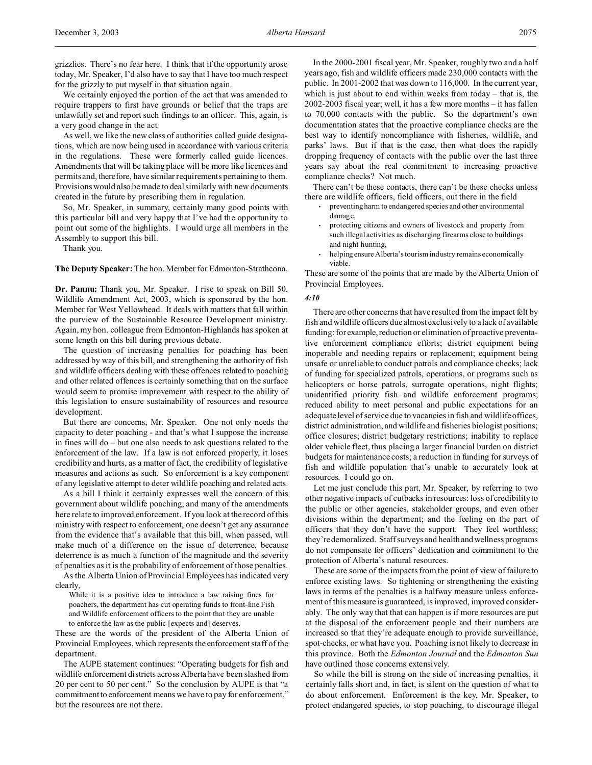We certainly enjoyed the portion of the act that was amended to require trappers to first have grounds or belief that the traps are unlawfully set and report such findings to an officer. This, again, is a very good change in the act.

As well, we like the new class of authorities called guide designations, which are now being used in accordance with various criteria in the regulations. These were formerly called guide licences. Amendments that will be taking place will be more like licences and permits and, therefore, have similar requirements pertaining to them. Provisions would also be made to deal similarly with new documents created in the future by prescribing them in regulation.

So, Mr. Speaker, in summary, certainly many good points with this particular bill and very happy that I've had the opportunity to point out some of the highlights. I would urge all members in the Assembly to support this bill.

Thank you.

**The Deputy Speaker:** The hon. Member for Edmonton-Strathcona.

**Dr. Pannu:** Thank you, Mr. Speaker. I rise to speak on Bill 50, Wildlife Amendment Act, 2003, which is sponsored by the hon. Member for West Yellowhead. It deals with matters that fall within the purview of the Sustainable Resource Development ministry. Again, my hon. colleague from Edmonton-Highlands has spoken at some length on this bill during previous debate.

The question of increasing penalties for poaching has been addressed by way of this bill, and strengthening the authority of fish and wildlife officers dealing with these offences related to poaching and other related offences is certainly something that on the surface would seem to promise improvement with respect to the ability of this legislation to ensure sustainability of resources and resource development.

But there are concerns, Mr. Speaker. One not only needs the capacity to deter poaching - and that's what I suppose the increase in fines will do – but one also needs to ask questions related to the enforcement of the law. If a law is not enforced properly, it loses credibility and hurts, as a matter of fact, the credibility of legislative measures and actions as such. So enforcement is a key component of any legislative attempt to deter wildlife poaching and related acts.

As a bill I think it certainly expresses well the concern of this government about wildlife poaching, and many of the amendments here relate to improved enforcement. If you look at the record of this ministry with respect to enforcement, one doesn't get any assurance from the evidence that's available that this bill, when passed, will make much of a difference on the issue of deterrence, because deterrence is as much a function of the magnitude and the severity of penalties as it is the probability of enforcement of those penalties.

As the Alberta Union of Provincial Employees has indicated very clearly,

While it is a positive idea to introduce a law raising fines for poachers, the department has cut operating funds to front-line Fish and Wildlife enforcement officers to the point that they are unable to enforce the law as the public [expects and] deserves.

These are the words of the president of the Alberta Union of Provincial Employees, which represents the enforcement staff of the department.

The AUPE statement continues: "Operating budgets for fish and wildlife enforcement districts across Alberta have been slashed from 20 per cent to 50 per cent." So the conclusion by AUPE is that "a commitment to enforcement means we have to pay for enforcement," but the resources are not there.

In the 2000-2001 fiscal year, Mr. Speaker, roughly two and a half years ago, fish and wildlife officers made 230,000 contacts with the public. In 2001-2002 that was down to 116,000. In the current year, which is just about to end within weeks from today – that is, the 2002-2003 fiscal year; well, it has a few more months – it has fallen to 70,000 contacts with the public. So the department's own documentation states that the proactive compliance checks are the best way to identify noncompliance with fisheries, wildlife, and parks' laws. But if that is the case, then what does the rapidly dropping frequency of contacts with the public over the last three years say about the real commitment to increasing proactive compliance checks? Not much.

There can't be these contacts, there can't be these checks unless there are wildlife officers, field officers, out there in the field

- preventing harm to endangered species and other environmental damage,
- protecting citizens and owners of livestock and property from such illegal activities as discharging firearms close to buildings and night hunting,
- helping ensure Alberta's tourism industry remains economically viable.

These are some of the points that are made by the Alberta Union of Provincial Employees.

#### *4:10*

There are other concerns that have resulted from the impact felt by fish and wildlife officers due almost exclusively to a lack of available funding: for example, reduction or elimination of proactive preventative enforcement compliance efforts; district equipment being inoperable and needing repairs or replacement; equipment being unsafe or unreliable to conduct patrols and compliance checks; lack of funding for specialized patrols, operations, or programs such as helicopters or horse patrols, surrogate operations, night flights; unidentified priority fish and wildlife enforcement programs; reduced ability to meet personal and public expectations for an adequate level of service due to vacancies in fish and wildlife offices, district administration, and wildlife and fisheries biologist positions; office closures; district budgetary restrictions; inability to replace older vehicle fleet, thus placing a larger financial burden on district budgets for maintenance costs; a reduction in funding for surveys of fish and wildlife population that's unable to accurately look at resources. I could go on.

Let me just conclude this part, Mr. Speaker, by referring to two other negative impacts of cutbacks in resources: loss of credibility to the public or other agencies, stakeholder groups, and even other divisions within the department; and the feeling on the part of officers that they don't have the support. They feel worthless; they're demoralized. Staff surveys and health andwellness programs do not compensate for officers' dedication and commitment to the protection of Alberta's natural resources.

These are some of the impacts from the point of view of failure to enforce existing laws. So tightening or strengthening the existing laws in terms of the penalties is a halfway measure unless enforcement of this measure is guaranteed, is improved, improved considerably. The only way that that can happen is if more resources are put at the disposal of the enforcement people and their numbers are increased so that they're adequate enough to provide surveillance, spot-checks, or what have you. Poaching is not likely to decrease in this province. Both the *Edmonton Journal* and the *Edmonton Sun* have outlined those concerns extensively.

So while the bill is strong on the side of increasing penalties, it certainly falls short and, in fact, is silent on the question of what to do about enforcement. Enforcement is the key, Mr. Speaker, to protect endangered species, to stop poaching, to discourage illegal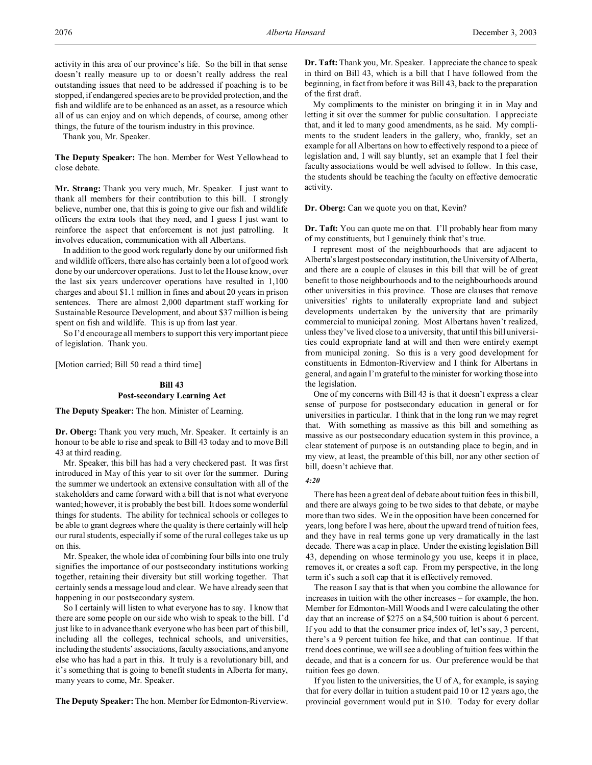activity in this area of our province's life. So the bill in that sense doesn't really measure up to or doesn't really address the real outstanding issues that need to be addressed if poaching is to be stopped, if endangered species are to be provided protection, and the fish and wildlife are to be enhanced as an asset, as a resource which all of us can enjoy and on which depends, of course, among other things, the future of the tourism industry in this province.

Thank you, Mr. Speaker.

**The Deputy Speaker:** The hon. Member for West Yellowhead to close debate.

**Mr. Strang:** Thank you very much, Mr. Speaker. I just want to thank all members for their contribution to this bill. I strongly believe, number one, that this is going to give our fish and wildlife officers the extra tools that they need, and I guess I just want to reinforce the aspect that enforcement is not just patrolling. It involves education, communication with all Albertans.

In addition to the good work regularly done by our uniformed fish and wildlife officers, there also has certainly been a lot of good work done by our undercover operations. Just to let the House know, over the last six years undercover operations have resulted in 1,100 charges and about \$1.1 million in fines and about 20 years in prison sentences. There are almost 2,000 department staff working for Sustainable Resource Development, and about \$37 million is being spent on fish and wildlife. This is up from last year.

So I'd encourage all members to support this very important piece of legislation. Thank you.

[Motion carried; Bill 50 read a third time]

## **Bill 43 Post-secondary Learning Act**

**The Deputy Speaker:** The hon. Minister of Learning.

**Dr. Oberg:** Thank you very much, Mr. Speaker. It certainly is an honour to be able to rise and speak to Bill 43 today and to move Bill 43 at third reading.

Mr. Speaker, this bill has had a very checkered past. It was first introduced in May of this year to sit over for the summer. During the summer we undertook an extensive consultation with all of the stakeholders and came forward with a bill that is not what everyone wanted; however, it is probably the best bill. It does some wonderful things for students. The ability for technical schools or colleges to be able to grant degrees where the quality is there certainly will help our rural students, especially if some of the rural colleges take us up on this.

Mr. Speaker, the whole idea of combining four bills into one truly signifies the importance of our postsecondary institutions working together, retaining their diversity but still working together. That certainly sends a message loud and clear. We have already seen that happening in our postsecondary system.

So I certainly will listen to what everyone has to say. I know that there are some people on our side who wish to speak to the bill. I'd just like to in advance thank everyone who has been part of this bill, including all the colleges, technical schools, and universities, including the students' associations, faculty associations, and anyone else who has had a part in this. It truly is a revolutionary bill, and it's something that is going to benefit students in Alberta for many, many years to come, Mr. Speaker.

**The Deputy Speaker:** The hon. Member for Edmonton-Riverview.

**Dr. Taft:** Thank you, Mr. Speaker. I appreciate the chance to speak in third on Bill 43, which is a bill that I have followed from the beginning, in fact from before it was Bill 43, back to the preparation of the first draft.

My compliments to the minister on bringing it in in May and letting it sit over the summer for public consultation. I appreciate that, and it led to many good amendments, as he said. My compliments to the student leaders in the gallery, who, frankly, set an example for all Albertans on how to effectively respond to a piece of legislation and, I will say bluntly, set an example that I feel their faculty associations would be well advised to follow. In this case, the students should be teaching the faculty on effective democratic activity.

**Dr. Oberg:** Can we quote you on that, Kevin?

**Dr. Taft:** You can quote me on that. I'll probably hear from many of my constituents, but I genuinely think that's true.

I represent most of the neighbourhoods that are adjacent to Alberta'slargest postsecondary institution, the University of Alberta, and there are a couple of clauses in this bill that will be of great benefit to those neighbourhoods and to the neighbourhoods around other universities in this province. Those are clauses that remove universities' rights to unilaterally expropriate land and subject developments undertaken by the university that are primarily commercial to municipal zoning. Most Albertans haven't realized, unless they've lived close to a university, that until this bill universities could expropriate land at will and then were entirely exempt from municipal zoning. So this is a very good development for constituents in Edmonton-Riverview and I think for Albertans in general, and again I'm grateful to the minister for working those into the legislation.

One of my concerns with Bill 43 is that it doesn't express a clear sense of purpose for postsecondary education in general or for universities in particular. I think that in the long run we may regret that. With something as massive as this bill and something as massive as our postsecondary education system in this province, a clear statement of purpose is an outstanding place to begin, and in my view, at least, the preamble of this bill, nor any other section of bill, doesn't achieve that.

### *4:20*

There has been a great deal of debate about tuition fees in this bill, and there are always going to be two sides to that debate, or maybe more than two sides. We in the opposition have been concerned for years, long before I was here, about the upward trend of tuition fees, and they have in real terms gone up very dramatically in the last decade. There was a cap in place. Under the existing legislation Bill 43, depending on whose terminology you use, keeps it in place, removes it, or creates a soft cap. From my perspective, in the long term it's such a soft cap that it is effectively removed.

The reason I say that is that when you combine the allowance for increases in tuition with the other increases – for example, the hon. Member for Edmonton-Mill Woods and I were calculating the other day that an increase of \$275 on a \$4,500 tuition is about 6 percent. If you add to that the consumer price index of, let's say, 3 percent, there's a 9 percent tuition fee hike, and that can continue. If that trend does continue, we will see a doubling of tuition fees within the decade, and that is a concern for us. Our preference would be that tuition fees go down.

If you listen to the universities, the U of A, for example, is saying that for every dollar in tuition a student paid 10 or 12 years ago, the provincial government would put in \$10. Today for every dollar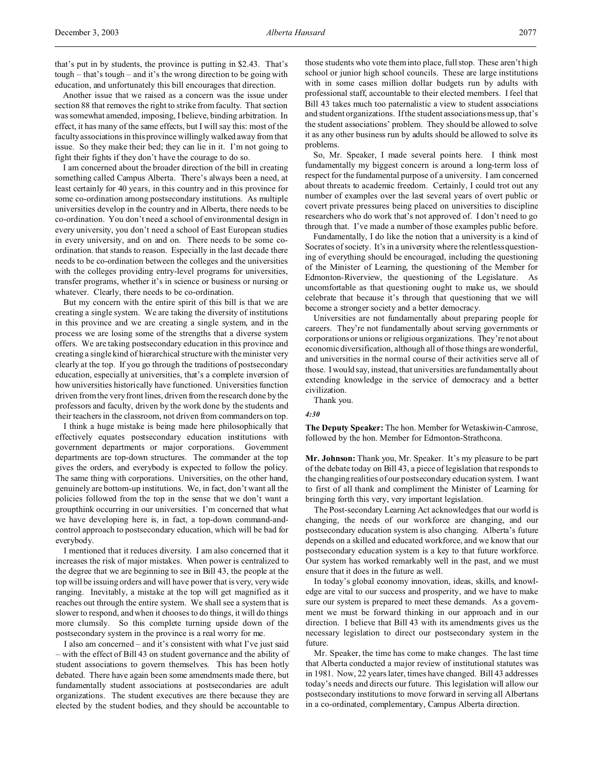that's put in by students, the province is putting in \$2.43. That's tough – that's tough – and it's the wrong direction to be going with education, and unfortunately this bill encourages that direction.

Another issue that we raised as a concern was the issue under section 88 that removes the right to strike from faculty. That section was somewhat amended, imposing, I believe, binding arbitration. In effect, it has many of the same effects, but I will say this: most of the faculty associations in this province willingly walked away from that issue. So they make their bed; they can lie in it. I'm not going to fight their fights if they don't have the courage to do so.

I am concerned about the broader direction of the bill in creating something called Campus Alberta. There's always been a need, at least certainly for 40 years, in this country and in this province for some co-ordination among postsecondary institutions. As multiple universities develop in the country and in Alberta, there needs to be co-ordination. You don't need a school of environmental design in every university, you don't need a school of East European studies in every university, and on and on. There needs to be some coordination. that stands to reason. Especially in the last decade there needs to be co-ordination between the colleges and the universities with the colleges providing entry-level programs for universities, transfer programs, whether it's in science or business or nursing or whatever. Clearly, there needs to be co-ordination.

But my concern with the entire spirit of this bill is that we are creating a single system. We are taking the diversity of institutions in this province and we are creating a single system, and in the process we are losing some of the strengths that a diverse system offers. We are taking postsecondary education in this province and creating a single kind of hierarchical structure with the minister very clearly at the top. If you go through the traditions of postsecondary education, especially at universities, that's a complete inversion of how universities historically have functioned. Universities function driven from the very front lines, driven from the research done by the professors and faculty, driven by the work done by the students and their teachers in the classroom, not driven from commanders on top.

I think a huge mistake is being made here philosophically that effectively equates postsecondary education institutions with government departments or major corporations. Government departments are top-down structures. The commander at the top gives the orders, and everybody is expected to follow the policy. The same thing with corporations. Universities, on the other hand, genuinely are bottom-up institutions. We, in fact, don't want all the policies followed from the top in the sense that we don't want a groupthink occurring in our universities. I'm concerned that what we have developing here is, in fact, a top-down command-andcontrol approach to postsecondary education, which will be bad for everybody.

I mentioned that it reduces diversity. I am also concerned that it increases the risk of major mistakes. When power is centralized to the degree that we are beginning to see in Bill 43, the people at the top will be issuing orders and will have power that is very, very wide ranging. Inevitably, a mistake at the top will get magnified as it reaches out through the entire system. We shall see a system that is slower to respond, and when it chooses to do things, it will do things more clumsily. So this complete turning upside down of the postsecondary system in the province is a real worry for me.

I also am concerned – and it's consistent with what I've just said – with the effect of Bill 43 on student governance and the ability of student associations to govern themselves. This has been hotly debated. There have again been some amendments made there, but fundamentally student associations at postsecondaries are adult organizations. The student executives are there because they are elected by the student bodies, and they should be accountable to

those students who vote them into place, full stop. These aren't high school or junior high school councils. These are large institutions with in some cases million dollar budgets run by adults with professional staff, accountable to their elected members. I feel that Bill 43 takes much too paternalistic a view to student associations and student organizations. If the student associations mess up, that's the student associations' problem. They should be allowed to solve it as any other business run by adults should be allowed to solve its problems.

So, Mr. Speaker, I made several points here. I think most fundamentally my biggest concern is around a long-term loss of respect for the fundamental purpose of a university. I am concerned about threats to academic freedom. Certainly, I could trot out any number of examples over the last several years of overt public or covert private pressures being placed on universities to discipline researchers who do work that's not approved of. I don't need to go through that. I've made a number of those examples public before.

Fundamentally, I do like the notion that a university is a kind of Socrates of society. It's in a university where the relentless questioning of everything should be encouraged, including the questioning of the Minister of Learning, the questioning of the Member for Edmonton-Riverview, the questioning of the Legislature. As uncomfortable as that questioning ought to make us, we should celebrate that because it's through that questioning that we will become a stronger society and a better democracy.

Universities are not fundamentally about preparing people for careers. They're not fundamentally about serving governments or corporations or unions or religious organizations. They're not about economic diversification, although all of those things are wonderful, and universities in the normal course of their activities serve all of those. I would say, instead, that universities are fundamentally about extending knowledge in the service of democracy and a better civilization.

Thank you.

*4:30*

**The Deputy Speaker:** The hon. Member for Wetaskiwin-Camrose, followed by the hon. Member for Edmonton-Strathcona.

**Mr. Johnson:** Thank you, Mr. Speaker. It's my pleasure to be part of the debate today on Bill 43, a piece of legislation that responds to the changing realities of our postsecondary education system. I want to first of all thank and compliment the Minister of Learning for bringing forth this very, very important legislation.

The Post-secondary Learning Act acknowledges that our world is changing, the needs of our workforce are changing, and our postsecondary education system is also changing. Alberta's future depends on a skilled and educated workforce, and we know that our postsecondary education system is a key to that future workforce. Our system has worked remarkably well in the past, and we must ensure that it does in the future as well.

In today's global economy innovation, ideas, skills, and knowledge are vital to our success and prosperity, and we have to make sure our system is prepared to meet these demands. As a government we must be forward thinking in our approach and in our direction. I believe that Bill 43 with its amendments gives us the necessary legislation to direct our postsecondary system in the future.

Mr. Speaker, the time has come to make changes. The last time that Alberta conducted a major review of institutional statutes was in 1981. Now, 22 years later, times have changed. Bill 43 addresses today's needs and directs our future. This legislation will allow our postsecondary institutions to move forward in serving all Albertans in a co-ordinated, complementary, Campus Alberta direction.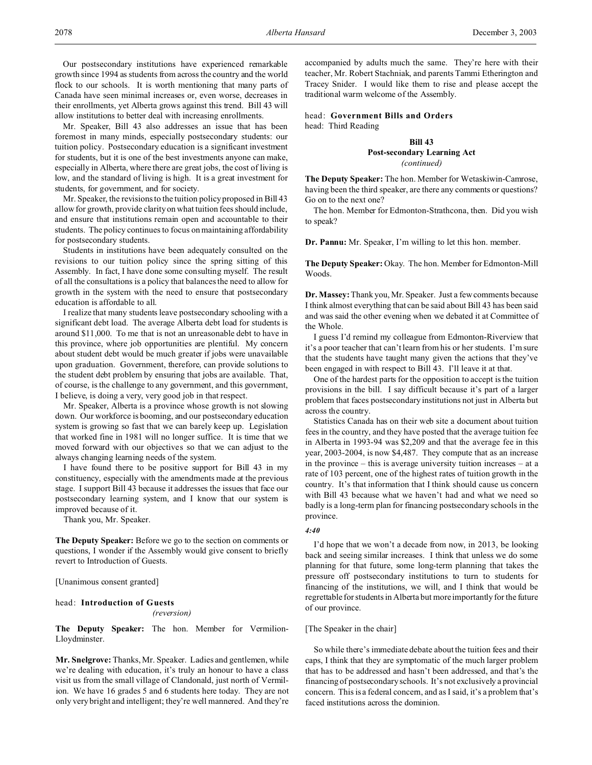Our postsecondary institutions have experienced remarkable growth since 1994 as students from across the country and the world flock to our schools. It is worth mentioning that many parts of Canada have seen minimal increases or, even worse, decreases in their enrollments, yet Alberta grows against this trend. Bill 43 will allow institutions to better deal with increasing enrollments.

Mr. Speaker, Bill 43 also addresses an issue that has been foremost in many minds, especially postsecondary students: our tuition policy. Postsecondary education is a significant investment for students, but it is one of the best investments anyone can make, especially in Alberta, where there are great jobs, the cost of living is low, and the standard of living is high. It is a great investment for students, for government, and for society.

Mr. Speaker, the revisions to the tuition policy proposed in Bill 43 allow for growth, provide clarity on what tuition fees should include, and ensure that institutions remain open and accountable to their students. The policy continues to focus on maintaining affordability for postsecondary students.

Students in institutions have been adequately consulted on the revisions to our tuition policy since the spring sitting of this Assembly. In fact, I have done some consulting myself. The result of all the consultations is a policy that balances the need to allow for growth in the system with the need to ensure that postsecondary education is affordable to all.

I realize that many students leave postsecondary schooling with a significant debt load. The average Alberta debt load for students is around \$11,000. To me that is not an unreasonable debt to have in this province, where job opportunities are plentiful. My concern about student debt would be much greater if jobs were unavailable upon graduation. Government, therefore, can provide solutions to the student debt problem by ensuring that jobs are available. That, of course, is the challenge to any government, and this government, I believe, is doing a very, very good job in that respect.

Mr. Speaker, Alberta is a province whose growth is not slowing down. Our workforce is booming, and our postsecondary education system is growing so fast that we can barely keep up. Legislation that worked fine in 1981 will no longer suffice. It is time that we moved forward with our objectives so that we can adjust to the always changing learning needs of the system.

I have found there to be positive support for Bill 43 in my constituency, especially with the amendments made at the previous stage. I support Bill 43 because it addresses the issues that face our postsecondary learning system, and I know that our system is improved because of it.

Thank you, Mr. Speaker.

**The Deputy Speaker:** Before we go to the section on comments or questions, I wonder if the Assembly would give consent to briefly revert to Introduction of Guests.

[Unanimous consent granted]

## head: **Introduction of Guests**

#### *(reversion)*

**The Deputy Speaker:** The hon. Member for Vermilion-Lloydminster.

**Mr. Snelgrove:** Thanks, Mr. Speaker. Ladies and gentlemen, while we're dealing with education, it's truly an honour to have a class visit us from the small village of Clandonald, just north of Vermilion. We have 16 grades 5 and 6 students here today. They are not only very bright and intelligent; they're well mannered. And they're

accompanied by adults much the same. They're here with their teacher, Mr. Robert Stachniak, and parents Tammi Etherington and Tracey Snider. I would like them to rise and please accept the traditional warm welcome of the Assembly.

head: **Government Bills and Orders** head: Third Reading

## **Bill 43 Post-secondary Learning Act** *(continued)*

**The Deputy Speaker:** The hon. Member for Wetaskiwin-Camrose, having been the third speaker, are there any comments or questions? Go on to the next one?

The hon. Member for Edmonton-Strathcona, then. Did you wish to speak?

**Dr. Pannu:** Mr. Speaker, I'm willing to let this hon. member.

**The Deputy Speaker:** Okay. The hon. Member for Edmonton-Mill Woods.

**Dr. Massey:**Thank you, Mr. Speaker. Just a few comments because I think almost everything that can be said about Bill 43 has been said and was said the other evening when we debated it at Committee of the Whole.

I guess I'd remind my colleague from Edmonton-Riverview that it's a poor teacher that can't learn from his or her students. I'm sure that the students have taught many given the actions that they've been engaged in with respect to Bill 43. I'll leave it at that.

One of the hardest parts for the opposition to accept is the tuition provisions in the bill. I say difficult because it's part of a larger problem that faces postsecondary institutions not just in Alberta but across the country.

Statistics Canada has on their web site a document about tuition fees in the country, and they have posted that the average tuition fee in Alberta in 1993-94 was \$2,209 and that the average fee in this year, 2003-2004, is now \$4,487. They compute that as an increase in the province – this is average university tuition increases – at a rate of 103 percent, one of the highest rates of tuition growth in the country. It's that information that I think should cause us concern with Bill 43 because what we haven't had and what we need so badly is a long-term plan for financing postsecondary schools in the province.

## *4:40*

I'd hope that we won't a decade from now, in 2013, be looking back and seeing similar increases. I think that unless we do some planning for that future, some long-term planning that takes the pressure off postsecondary institutions to turn to students for financing of the institutions, we will, and I think that would be regrettable for students in Alberta but more importantly for the future of our province.

#### [The Speaker in the chair]

So while there's immediate debate about the tuition fees and their caps, I think that they are symptomatic of the much larger problem that has to be addressed and hasn't been addressed, and that's the financing of postsecondary schools. It's not exclusively a provincial concern. This is a federal concern, and as I said, it's a problem that's faced institutions across the dominion.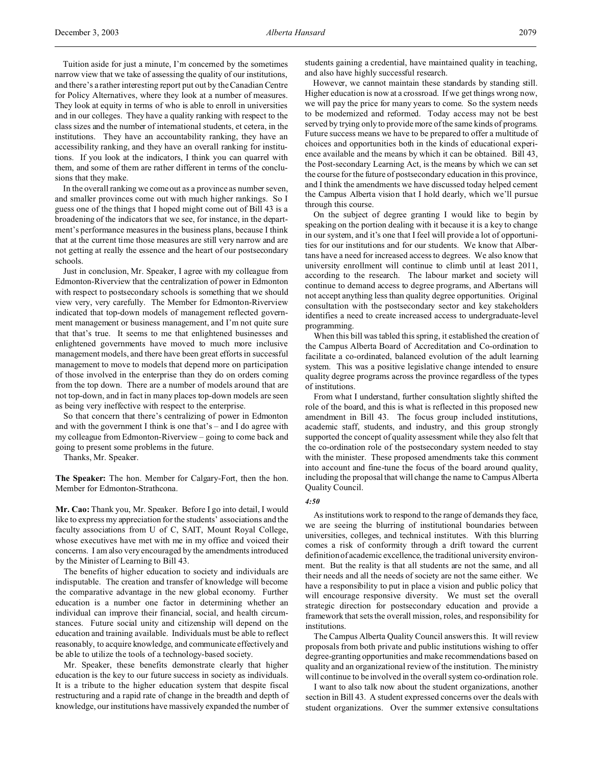Tuition aside for just a minute, I'm concerned by the sometimes narrow view that we take of assessing the quality of our institutions, and there's a rather interesting report put out by the Canadian Centre for Policy Alternatives, where they look at a number of measures. They look at equity in terms of who is able to enroll in universities and in our colleges. They have a quality ranking with respect to the class sizes and the number of international students, et cetera, in the institutions. They have an accountability ranking, they have an accessibility ranking, and they have an overall ranking for institutions. If you look at the indicators, I think you can quarrel with them, and some of them are rather different in terms of the conclusions that they make.

In the overall ranking we come out as a province as number seven, and smaller provinces come out with much higher rankings. So I guess one of the things that I hoped might come out of Bill 43 is a broadening of the indicators that we see, for instance, in the department's performance measures in the business plans, because I think that at the current time those measures are still very narrow and are not getting at really the essence and the heart of our postsecondary schools.

Just in conclusion, Mr. Speaker, I agree with my colleague from Edmonton-Riverview that the centralization of power in Edmonton with respect to postsecondary schools is something that we should view very, very carefully. The Member for Edmonton-Riverview indicated that top-down models of management reflected government management or business management, and I'm not quite sure that that's true. It seems to me that enlightened businesses and enlightened governments have moved to much more inclusive management models, and there have been great efforts in successful management to move to models that depend more on participation of those involved in the enterprise than they do on orders coming from the top down. There are a number of models around that are not top-down, and in fact in many places top-down models are seen as being very ineffective with respect to the enterprise.

So that concern that there's centralizing of power in Edmonton and with the government I think is one that's – and I do agree with my colleague from Edmonton-Riverview – going to come back and going to present some problems in the future.

Thanks, Mr. Speaker.

**The Speaker:** The hon. Member for Calgary-Fort, then the hon. Member for Edmonton-Strathcona.

**Mr. Cao:** Thank you, Mr. Speaker. Before I go into detail, I would like to express my appreciation for the students' associations and the faculty associations from U of C, SAIT, Mount Royal College, whose executives have met with me in my office and voiced their concerns. I am also very encouraged by the amendments introduced by the Minister of Learning to Bill 43.

The benefits of higher education to society and individuals are indisputable. The creation and transfer of knowledge will become the comparative advantage in the new global economy. Further education is a number one factor in determining whether an individual can improve their financial, social, and health circumstances. Future social unity and citizenship will depend on the education and training available. Individuals must be able to reflect reasonably, to acquire knowledge, and communicate effectively and be able to utilize the tools of a technology-based society.

Mr. Speaker, these benefits demonstrate clearly that higher education is the key to our future success in society as individuals. It is a tribute to the higher education system that despite fiscal restructuring and a rapid rate of change in the breadth and depth of knowledge, our institutions have massively expanded the number of students gaining a credential, have maintained quality in teaching, and also have highly successful research.

However, we cannot maintain these standards by standing still. Higher education is now at a crossroad. If we get things wrong now, we will pay the price for many years to come. So the system needs to be modernized and reformed. Today access may not be best served by trying only to provide more of the same kinds of programs. Future success means we have to be prepared to offer a multitude of choices and opportunities both in the kinds of educational experience available and the means by which it can be obtained. Bill 43, the Post-secondary Learning Act, is the means by which we can set the course for the future of postsecondary education in this province, and I think the amendments we have discussed today helped cement the Campus Alberta vision that I hold dearly, which we'll pursue through this course.

On the subject of degree granting I would like to begin by speaking on the portion dealing with it because it is a key to change in our system, and it's one that I feel will provide a lot of opportunities for our institutions and for our students. We know that Albertans have a need for increased access to degrees. We also know that university enrollment will continue to climb until at least 2011, according to the research. The labour market and society will continue to demand access to degree programs, and Albertans will not accept anything less than quality degree opportunities. Original consultation with the postsecondary sector and key stakeholders identifies a need to create increased access to undergraduate-level programming.

When this bill was tabled this spring, it established the creation of the Campus Alberta Board of Accreditation and Co-ordination to facilitate a co-ordinated, balanced evolution of the adult learning system. This was a positive legislative change intended to ensure quality degree programs across the province regardless of the types of institutions.

From what I understand, further consultation slightly shifted the role of the board, and this is what is reflected in this proposed new amendment in Bill 43. The focus group included institutions, academic staff, students, and industry, and this group strongly supported the concept of quality assessment while they also felt that the co-ordination role of the postsecondary system needed to stay with the minister. These proposed amendments take this comment into account and fine-tune the focus of the board around quality, including the proposal that will change the name to Campus Alberta Quality Council.

#### *4:50*

As institutions work to respond to the range of demands they face, we are seeing the blurring of institutional boundaries between universities, colleges, and technical institutes. With this blurring comes a risk of conformity through a drift toward the current definition of academic excellence, the traditional university environment. But the reality is that all students are not the same, and all their needs and all the needs of society are not the same either. We have a responsibility to put in place a vision and public policy that will encourage responsive diversity. We must set the overall strategic direction for postsecondary education and provide a framework that sets the overall mission, roles, and responsibility for institutions.

The Campus Alberta Quality Council answers this. It will review proposals from both private and public institutions wishing to offer degree-granting opportunities and make recommendations based on quality and an organizational review of the institution. The ministry will continue to be involved in the overall system co-ordination role.

I want to also talk now about the student organizations, another section in Bill 43. A student expressed concerns over the deals with student organizations. Over the summer extensive consultations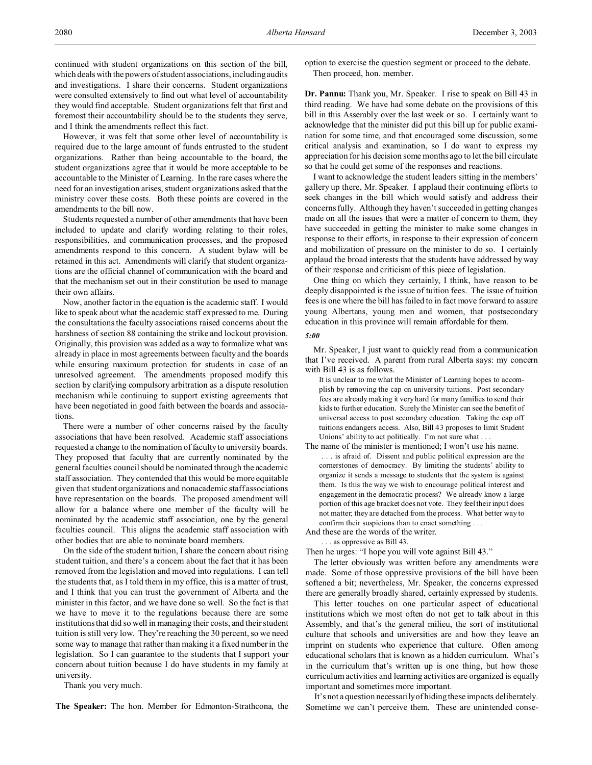continued with student organizations on this section of the bill, which deals with the powers of student associations, including audits and investigations. I share their concerns. Student organizations were consulted extensively to find out what level of accountability they would find acceptable. Student organizations felt that first and foremost their accountability should be to the students they serve, and I think the amendments reflect this fact.

However, it was felt that some other level of accountability is required due to the large amount of funds entrusted to the student organizations. Rather than being accountable to the board, the student organizations agree that it would be more acceptable to be accountable to the Minister of Learning. In the rare cases where the need for an investigation arises, student organizations asked that the ministry cover these costs. Both these points are covered in the amendments to the bill now.

Students requested a number of other amendments that have been included to update and clarify wording relating to their roles, responsibilities, and communication processes, and the proposed amendments respond to this concern. A student bylaw will be retained in this act. Amendments will clarify that student organizations are the official channel of communication with the board and that the mechanism set out in their constitution be used to manage their own affairs.

Now, another factor in the equation is the academic staff. I would like to speak about what the academic staff expressed to me. During the consultations the faculty associations raised concerns about the harshness of section 88 containing the strike and lockout provision. Originally, this provision was added as a way to formalize what was already in place in most agreements between faculty and the boards while ensuring maximum protection for students in case of an unresolved agreement. The amendments proposed modify this section by clarifying compulsory arbitration as a dispute resolution mechanism while continuing to support existing agreements that have been negotiated in good faith between the boards and associations.

There were a number of other concerns raised by the faculty associations that have been resolved. Academic staff associations requested a change to the nomination of faculty to university boards. They proposed that faculty that are currently nominated by the general faculties council should be nominated through the academic staff association. They contended that this would be more equitable given that student organizations and nonacademic staff associations have representation on the boards. The proposed amendment will allow for a balance where one member of the faculty will be nominated by the academic staff association, one by the general faculties council. This aligns the academic staff association with other bodies that are able to nominate board members.

On the side of the student tuition, I share the concern about rising student tuition, and there's a concern about the fact that it has been removed from the legislation and moved into regulations. I can tell the students that, as I told them in my office, this is a matter of trust, and I think that you can trust the government of Alberta and the minister in this factor, and we have done so well. So the fact is that we have to move it to the regulations because there are some institutions that did so well in managing their costs, and their student tuition is still very low. They're reaching the 30 percent, so we need some way to manage that rather than making it a fixed number in the legislation. So I can guarantee to the students that I support your concern about tuition because I do have students in my family at university.

Thank you very much.

**The Speaker:** The hon. Member for Edmonton-Strathcona, the

option to exercise the question segment or proceed to the debate. Then proceed, hon. member.

**Dr. Pannu:** Thank you, Mr. Speaker. I rise to speak on Bill 43 in third reading. We have had some debate on the provisions of this bill in this Assembly over the last week or so. I certainly want to acknowledge that the minister did put this bill up for public examination for some time, and that encouraged some discussion, some critical analysis and examination, so I do want to express my appreciation for his decision some months ago to let the bill circulate so that he could get some of the responses and reactions.

I want to acknowledge the student leaders sitting in the members' gallery up there, Mr. Speaker. I applaud their continuing efforts to seek changes in the bill which would satisfy and address their concerns fully. Although they haven't succeeded in getting changes made on all the issues that were a matter of concern to them, they have succeeded in getting the minister to make some changes in response to their efforts, in response to their expression of concern and mobilization of pressure on the minister to do so. I certainly applaud the broad interests that the students have addressed by way of their response and criticism of this piece of legislation.

One thing on which they certainly, I think, have reason to be deeply disappointed is the issue of tuition fees. The issue of tuition fees is one where the bill has failed to in fact move forward to assure young Albertans, young men and women, that postsecondary education in this province will remain affordable for them.

### *5:00*

Mr. Speaker, I just want to quickly read from a communication that I've received. A parent from rural Alberta says: my concern with Bill 43 is as follows.

It is unclear to me what the Minister of Learning hopes to accomplish by removing the cap on university tuitions. Post secondary fees are already making it very hard for many families to send their kids to further education. Surely the Minister can see the benefit of universal access to post secondary education. Taking the cap off tuitions endangers access. Also, Bill 43 proposes to limit Student Unions' ability to act politically. I'm not sure what . . .

The name of the minister is mentioned; I won't use his name. . . . is afraid of. Dissent and public political expression are the cornerstones of democracy. By limiting the students' ability to organize it sends a message to students that the system is against them. Is this the way we wish to encourage political interest and engagement in the democratic process? We already know a large portion of this age bracket does not vote. They feel their input does not matter; they are detached from the process. What better way to confirm their suspicions than to enact something . . .

And these are the words of the writer.

. . . as oppressive as Bill 43.

Then he urges: "I hope you will vote against Bill 43."

The letter obviously was written before any amendments were made. Some of those oppressive provisions of the bill have been softened a bit; nevertheless, Mr. Speaker, the concerns expressed there are generally broadly shared, certainly expressed by students.

This letter touches on one particular aspect of educational institutions which we most often do not get to talk about in this Assembly, and that's the general milieu, the sort of institutional culture that schools and universities are and how they leave an imprint on students who experience that culture. Often among educational scholars that is known as a hidden curriculum. What's in the curriculum that's written up is one thing, but how those curriculum activities and learning activities are organized is equally important and sometimes more important.

It's not a question necessarily of hiding these impacts deliberately. Sometime we can't perceive them. These are unintended conse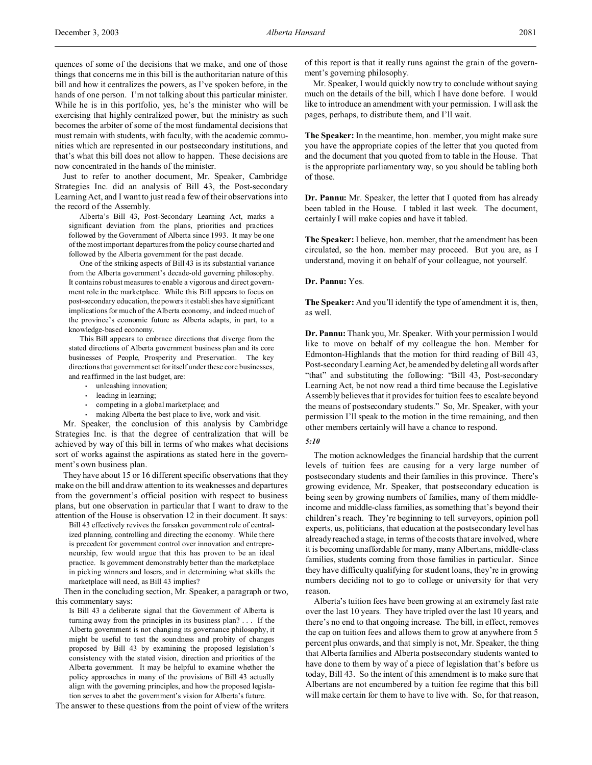quences of some of the decisions that we make, and one of those things that concerns me in this bill is the authoritarian nature of this bill and how it centralizes the powers, as I've spoken before, in the hands of one person. I'm not talking about this particular minister. While he is in this portfolio, yes, he's the minister who will be exercising that highly centralized power, but the ministry as such becomes the arbiter of some of the most fundamental decisions that must remain with students, with faculty, with the academic communities which are represented in our postsecondary institutions, and that's what this bill does not allow to happen. These decisions are now concentrated in the hands of the minister.

Just to refer to another document, Mr. Speaker, Cambridge Strategies Inc. did an analysis of Bill 43, the Post-secondary Learning Act, and I want to just read a few of their observations into the record of the Assembly.

Alberta's Bill 43, Post-Secondary Learning Act, marks a significant deviation from the plans, priorities and practices followed by the Government of Alberta since 1993. It may be one of the most important departures from the policy course charted and followed by the Alberta government for the past decade.

One of the striking aspects of Bill 43 is its substantial variance from the Alberta government's decade-old governing philosophy. It contains robust measures to enable a vigorous and direct government role in the marketplace. While this Bill appears to focus on post-secondary education, the powers it establishes have significant implications for much of the Alberta economy, and indeed much of the province's economic future as Alberta adapts, in part, to a knowledge-based economy.

This Bill appears to embrace directions that diverge from the stated directions of Alberta government business plan and its core businesses of People, Prosperity and Preservation. The key directions that government set for itself under these core businesses, and reaffirmed in the last budget, are:

- unleashing innovation;
- leading in learning;
- competing in a global marketplace; and
- making Alberta the best place to live, work and visit.

Mr. Speaker, the conclusion of this analysis by Cambridge Strategies Inc. is that the degree of centralization that will be achieved by way of this bill in terms of who makes what decisions sort of works against the aspirations as stated here in the government's own business plan.

They have about 15 or 16 different specific observations that they make on the bill and draw attention to its weaknesses and departures from the government's official position with respect to business plans, but one observation in particular that I want to draw to the attention of the House is observation 12 in their document. It says:

Bill 43 effectively revives the forsaken government role of centralized planning, controlling and directing the economy. While there is precedent for government control over innovation and entrepreneurship, few would argue that this has proven to be an ideal practice. Is government demonstrably better than the marketplace in picking winners and losers, and in determining what skills the marketplace will need, as Bill 43 implies?

Then in the concluding section, Mr. Speaker, a paragraph or two, this commentary says:

Is Bill 43 a deliberate signal that the Government of Alberta is turning away from the principles in its business plan? . . . If the Alberta government is not changing its governance philosophy, it might be useful to test the soundness and probity of changes proposed by Bill 43 by examining the proposed legislation's consistency with the stated vision, direction and priorities of the Alberta government. It may be helpful to examine whether the policy approaches in many of the provisions of Bill 43 actually align with the governing principles, and how the proposed legislation serves to abet the government's vision for Alberta's future.

The answer to these questions from the point of view of the writers

of this report is that it really runs against the grain of the government's governing philosophy.

Mr. Speaker, I would quickly now try to conclude without saying much on the details of the bill, which I have done before. I would like to introduce an amendment with your permission. I will ask the pages, perhaps, to distribute them, and I'll wait.

**The Speaker:** In the meantime, hon. member, you might make sure you have the appropriate copies of the letter that you quoted from and the document that you quoted from to table in the House. That is the appropriate parliamentary way, so you should be tabling both of those.

**Dr. Pannu:** Mr. Speaker, the letter that I quoted from has already been tabled in the House. I tabled it last week. The document, certainly I will make copies and have it tabled.

**The Speaker:** I believe, hon. member, that the amendment has been circulated, so the hon. member may proceed. But you are, as I understand, moving it on behalf of your colleague, not yourself.

## **Dr. Pannu:** Yes.

**The Speaker:** And you'll identify the type of amendment it is, then, as well.

**Dr. Pannu:** Thank you, Mr. Speaker. With your permission I would like to move on behalf of my colleague the hon. Member for Edmonton-Highlands that the motion for third reading of Bill 43, Post-secondary Learning Act, be amended by deleting all words after "that" and substituting the following: "Bill 43, Post-secondary Learning Act, be not now read a third time because the Legislative Assembly believes that it provides for tuition fees to escalate beyond the means of postsecondary students." So, Mr. Speaker, with your permission I'll speak to the motion in the time remaining, and then other members certainly will have a chance to respond.

## *5:10*

The motion acknowledges the financial hardship that the current levels of tuition fees are causing for a very large number of postsecondary students and their families in this province. There's growing evidence, Mr. Speaker, that postsecondary education is being seen by growing numbers of families, many of them middleincome and middle-class families, as something that's beyond their children's reach. They're beginning to tell surveyors, opinion poll experts, us, politicians, that education at the postsecondary level has already reached a stage, in terms of the costs that are involved, where it is becoming unaffordable for many, many Albertans, middle-class families, students coming from those families in particular. Since they have difficulty qualifying for student loans, they're in growing numbers deciding not to go to college or university for that very reason.

Alberta's tuition fees have been growing at an extremely fast rate over the last 10 years. They have tripled over the last 10 years, and there's no end to that ongoing increase. The bill, in effect, removes the cap on tuition fees and allows them to grow at anywhere from 5 percent plus onwards, and that simply is not, Mr. Speaker, the thing that Alberta families and Alberta postsecondary students wanted to have done to them by way of a piece of legislation that's before us today, Bill 43. So the intent of this amendment is to make sure that Albertans are not encumbered by a tuition fee regime that this bill will make certain for them to have to live with. So, for that reason,